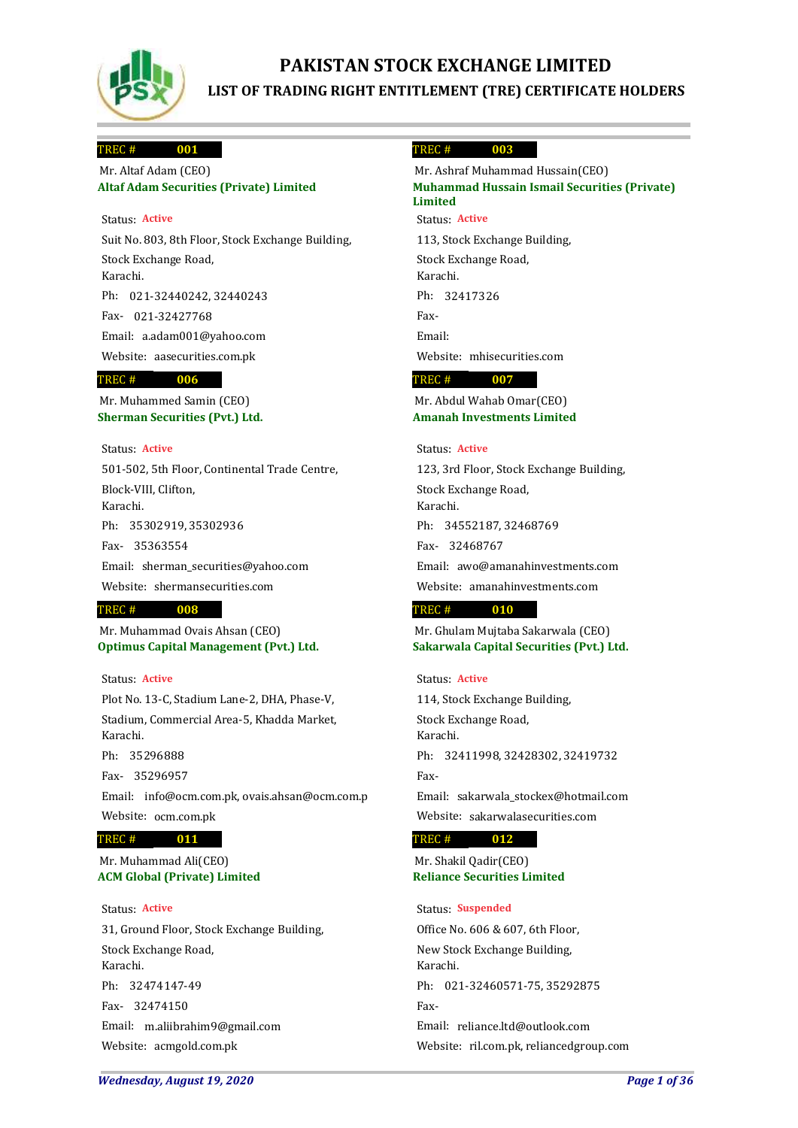

# **PAKISTAN STOCK EXCHANGE LIMITED LIST OF TRADING RIGHT ENTITLEMENT (TRE) CERTIFICATE HOLDERS**

### **001** TREC #

## **Altaf Adam Securities (Private) Limited** Mr. Altaf Adam (CEO)

## Status: **Active**

Suit No. 803, 8th Floor, Stock Exchange Building, Stock Exchange Road, Karachi. 021-32440242, 32440243 Ph: 021-32427768 Fax-Email: a.adam001@yahoo.com Website: aasecurities.com.pk

#### **006** TREC #

**Sherman Securities (Pvt.) Ltd.** Mr. Muhammed Samin (CEO)

## Status: **Active**

501-502, 5th Floor, Continental Trade Centre, Block-VIII, Clifton, Karachi. 35302919, 35302936 Ph: 35363554 Fax-Email: sherman\_securities@yahoo.com Website: shermansecurities.com

## **008** TREC #

**Optimus Capital Management (Pvt.) Ltd.** Mr. Muhammad Ovais Ahsan (CEO)

## Status: **Active**

Plot No. 13-C, Stadium Lane-2, DHA, Phase-V, Stadium, Commercial Area-5, Khadda Market, Karachi.

35296888 Ph:

35296957 Fax-Email: info@ocm.com.pk, ovais.ahsan@ocm.com.p Website: ocm.com.pk

### **011** TREC #

## **ACM Global (Private) Limited** Mr. Muhammad Ali(CEO)

## Status: **Active**

31, Ground Floor, Stock Exchange Building, Stock Exchange Road, Karachi. 32474147-49 Ph: 32474150 Fax-Email: m.aliibrahim9@gmail.com Website: acmgold.com.pk

#### **003** TREC #

**Muhammad Hussain Ismail Securities (Private) Limited** Mr. Ashraf Muhammad Hussain(CEO) Status: **Active**

113, Stock Exchange Building, Stock Exchange Road, Karachi. Ph: 32417326 Fax-Email: Website: mhisecurities.com

### **007** TREC #

**Amanah Investments Limited** Mr. Abdul Wahab Omar(CEO)

## Status: **Active**

123, 3rd Floor, Stock Exchange Building, Stock Exchange Road, Karachi. 34552187, 32468769 Ph: 32468767 Fax-Email: awo@amanahinvestments.com Website: amanahinvestments.com

### **010** TREC #

**Sakarwala Capital Securities (Pvt.) Ltd.** Mr. Ghulam Mujtaba Sakarwala (CEO)

## Status: **Active**

114, Stock Exchange Building, Stock Exchange Road, Karachi. Ph: 32411998, 32428302, 32419732 Fax-Email: sakarwala\_stockex@hotmail.com

Website: sakarwalasecurities.com

### **012** TREC #

**Reliance Securities Limited** Mr. Shakil Qadir(CEO)

### Status: **Suspended**

Office No. 606 & 607, 6th Floor, New Stock Exchange Building, Karachi. Ph: 021-32460571-75, 35292875 Fax-Email: reliance.ltd@outlook.com Website: ril.com.pk, reliancedgroup.com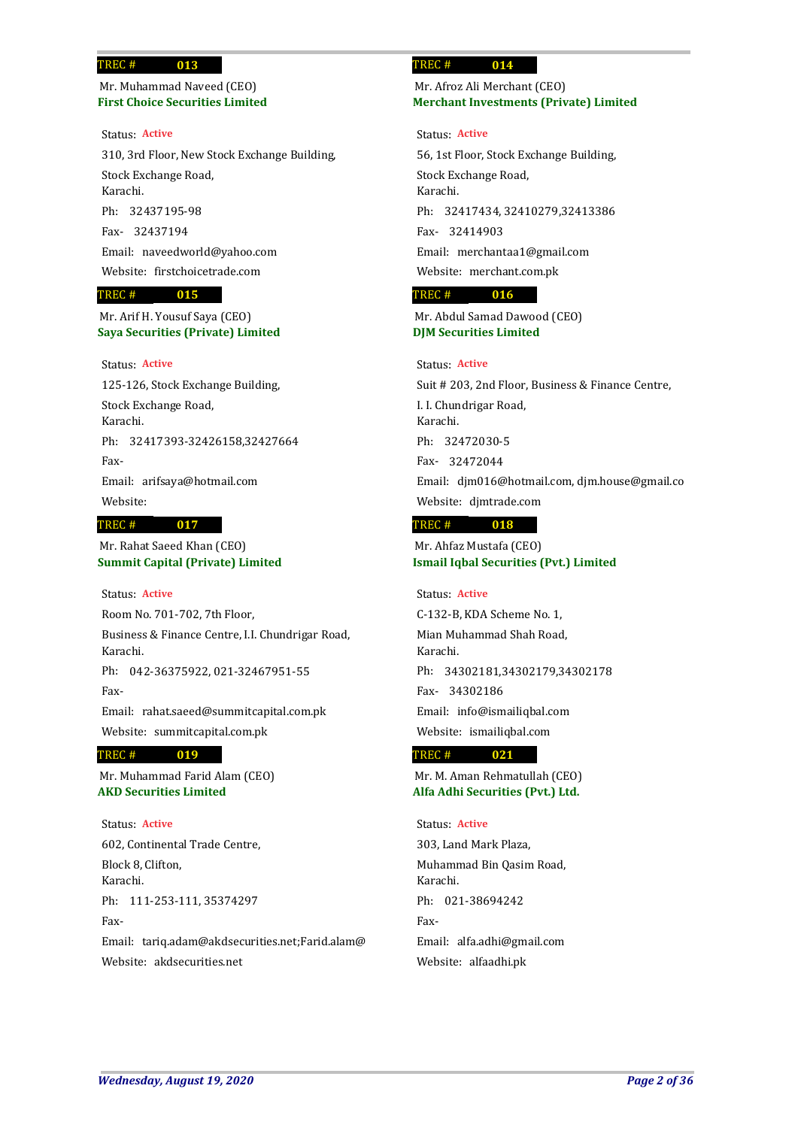## **First Choice Securities Limited** Mr. Muhammad Naveed (CEO)

**013**

Status: **Active**

310, 3rd Floor, New Stock Exchange Building, Stock Exchange Road, Karachi. 32437195-98 Ph: 32437194 Fax-Email: naveedworld@yahoo.com Website: firstchoicetrade.com

### **015** TREC #

**Saya Securities (Private) Limited** Mr. Arif H. Yousuf Saya (CEO)

## Status: **Active**

125-126, Stock Exchange Building, Stock Exchange Road, Karachi. Ph: 32417393-32426158,32427664 Fax-Email: arifsaya@hotmail.com Website:

## TREC #

**Summit Capital (Private) Limited** Mr. Rahat Saeed Khan (CEO)

**017**

## Status: **Active**

Room No. 701-702, 7th Floor, Business & Finance Centre, I.I. Chundrigar Road, Karachi. Ph: 042-36375922, 021-32467951-55 Fax-Email: rahat.saeed@summitcapital.com.pk Website: summitcapital.com.pk

### **019** TREC #

**AKD Securities Limited** Mr. Muhammad Farid Alam (CEO)

### Status: **Active**

602, Continental Trade Centre, Block 8, Clifton, Karachi. Ph: 111-253-111, 35374297 Fax-Email: tariq.adam@akdsecurities.net;Farid.alam@

Website: akdsecurities.net

### **014** TREC #

## **Merchant Investments (Private) Limited** Mr. Afroz Ali Merchant (CEO)

### Status: **Active**

56, 1st Floor, Stock Exchange Building, Stock Exchange Road, Karachi. 32417434, 32410279,32413386 Ph: 32414903 Fax-Email: merchantaa1@gmail.com Website: merchant.com.pk

### **016** TREC #

**DJM Securities Limited** Mr. Abdul Samad Dawood (CEO)

## Status: **Active**

Suit # 203, 2nd Floor, Business & Finance Centre, I. I. Chundrigar Road, Karachi. 32472030-5 Ph: 32472044 Fax-Email: djm016@hotmail.com, djm.house@gmail.co Website: djmtrade.com

### **018** TREC #

**Ismail Iqbal Securities (Pvt.) Limited** Mr. Ahfaz Mustafa (CEO)

C-132-B, KDA Scheme No. 1, Mian Muhammad Shah Road, Karachi. Ph: 34302181,34302179,34302178 34302186 Fax-Email: info@ismailiqbal.com Website: ismailiqbal.com Status: **Active**

#### **021** TREC #

**Alfa Adhi Securities (Pvt.) Ltd.** Mr. M. Aman Rehmatullah (CEO)

## Status: **Active**

303, Land Mark Plaza, Muhammad Bin Qasim Road, Karachi. Ph: 021-38694242 Fax-Email: alfa.adhi@gmail.com Website: alfaadhi.pk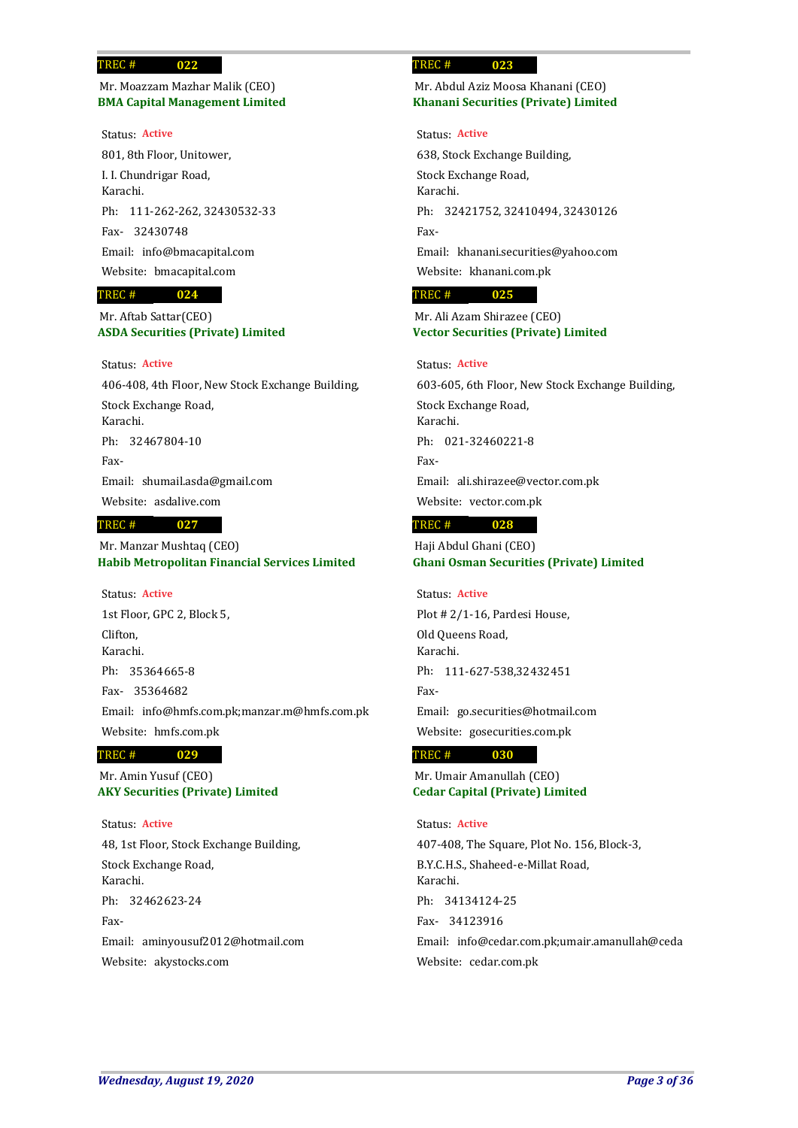**BMA Capital Management Limited** Mr. Moazzam Mazhar Malik (CEO)

**022**

### Status: **Active**

801, 8th Floor, Unitower, I. I. Chundrigar Road, Karachi. Ph: 111-262-262, 32430532-33 32430748 Fax-Email: info@bmacapital.com Website: bmacapital.com

### **024** TREC #

**ASDA Securities (Private) Limited** Mr. Aftab Sattar(CEO)

## Status: **Active**

406-408, 4th Floor, New Stock Exchange Building, Stock Exchange Road, Karachi. Ph: 32467804-10 Fax-Email: shumail.asda@gmail.com Website: asdalive.com **027** TREC #

**Habib Metropolitan Financial Services Limited** Mr. Manzar Mushtaq (CEO)

1st Floor, GPC 2, Block 5, Clifton, Karachi. 35364665-8 Ph: 35364682 Fax-Email: info@hmfs.com.pk;manzar.m@hmfs.com.pk Website: hmfs.com.pk Status: **Active**

### **029** TREC #

**AKY Securities (Private) Limited** Mr. Amin Yusuf (CEO)

48, 1st Floor, Stock Exchange Building, Stock Exchange Road, Karachi. Ph: 32462623-24 Fax-Email: aminyousuf2012@hotmail.com Website: akystocks.com Status: **Active**

### **023** TREC #

## **Khanani Securities (Private) Limited** Mr. Abdul Aziz Moosa Khanani (CEO)

### Status: **Active**

638, Stock Exchange Building, Stock Exchange Road, Karachi. Ph: 32421752, 32410494, 32430126 Fax-Email: khanani.securities@yahoo.com Website: khanani.com.pk

#### **025** TREC #

## **Vector Securities (Private) Limited** Mr. Ali Azam Shirazee (CEO)

## Status: **Active**

603-605, 6th Floor, New Stock Exchange Building, Stock Exchange Road, Karachi. Ph: 021-32460221-8 Fax-Email: ali.shirazee@vector.com.pk Website: vector.com.pk

#### **028** TREC #

**Ghani Osman Securities (Private) Limited** Haji Abdul Ghani (CEO)

# Status: **Active**

Plot # 2/1-16, Pardesi House, Old Queens Road, Karachi. Ph: 111-627-538,32432451 Fax-Email: go.securities@hotmail.com Website: gosecurities.com.pk

#### **030** TREC #

**Cedar Capital (Private) Limited** Mr. Umair Amanullah (CEO)

# 407-408, The Square, Plot No. 156, Block-3, B.Y.C.H.S., Shaheed-e-Millat Road, Karachi. 34134124-25 Ph: 34123916 Fax-Email: info@cedar.com.pk;umair.amanullah@ceda Website: cedar.com.pk Status: **Active**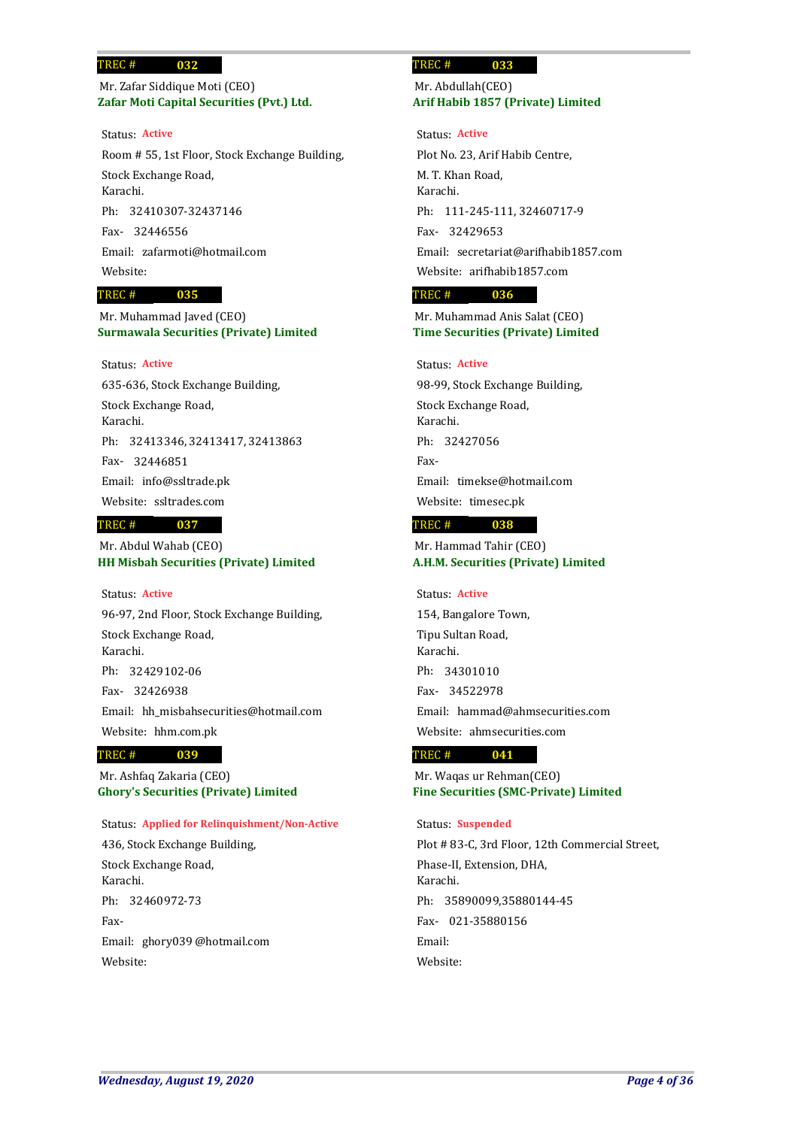## **Zafar Moti Capital Securities (Pvt.) Ltd.** Mr. Zafar Siddique Moti (CEO)

Room # 55, 1st Floor, Stock Exchange Building, Stock Exchange Road, Karachi. 32410307-32437146 Ph: 32446556 Fax-Email: zafarmoti@hotmail.com Website: Status: **Active**

### **035** TREC #

**Surmawala Securities (Private) Limited** Mr. Muhammad Javed (CEO)

## Status: **Active**

635-636, Stock Exchange Building, Stock Exchange Road, Karachi. 32413346, 32413417, 32413863 Ph: 32446851 Fax-Email: info@ssltrade.pk Website: ssltrades.com

### **037** TREC #

**HH Misbah Securities (Private) Limited** Mr. Abdul Wahab (CEO)

## Status: **Active**

96-97, 2nd Floor, Stock Exchange Building, Stock Exchange Road, Karachi. 32429102-06 Ph: 32426938 Fax-Email: hh\_misbahsecurities@hotmail.com Website: hhm.com.pk

#### **039** TREC #

**Ghory's Securities (Private) Limited** Mr. Ashfaq Zakaria (CEO)

## Status: **Applied for Relinquishment/Non-Active**

436, Stock Exchange Building, Stock Exchange Road, Karachi. Ph: 32460972-73 Fax-Email: ghory039 @hotmail.com Website:

### **033** TREC #

## **Arif Habib 1857 (Private) Limited** Mr. Abdullah(CEO)

Plot No. 23, Arif Habib Centre, M. T. Khan Road, Karachi. Ph: 111-245-111, 32460717-9 32429653 Fax-Email: secretariat@arifhabib1857.com Website: arifhabib1857.com Status: **Active**

### **036** TREC #

**Time Securities (Private) Limited** Mr. Muhammad Anis Salat (CEO)

## Status: **Active**

98-99, Stock Exchange Building, Stock Exchange Road, Karachi. Ph: 32427056 Fax-Email: timekse@hotmail.com Website: timesec.pk

### **038** TREC #

**A.H.M. Securities (Private) Limited** Mr. Hammad Tahir (CEO)

Status: **Active**

154, Bangalore Town, Tipu Sultan Road, Karachi. 34301010 Ph: 34522978 Fax-Email: hammad@ahmsecurities.com Website: ahmsecurities.com

#### **041** TREC #

**Fine Securities (SMC-Private) Limited** Mr. Waqas ur Rehman(CEO)

## Status: **Suspended**

Plot # 83-C, 3rd Floor, 12th Commercial Street, Phase-II, Extension, DHA, Karachi. 35890099,35880144-45 Ph: 021-35880156 Fax-Email: Website: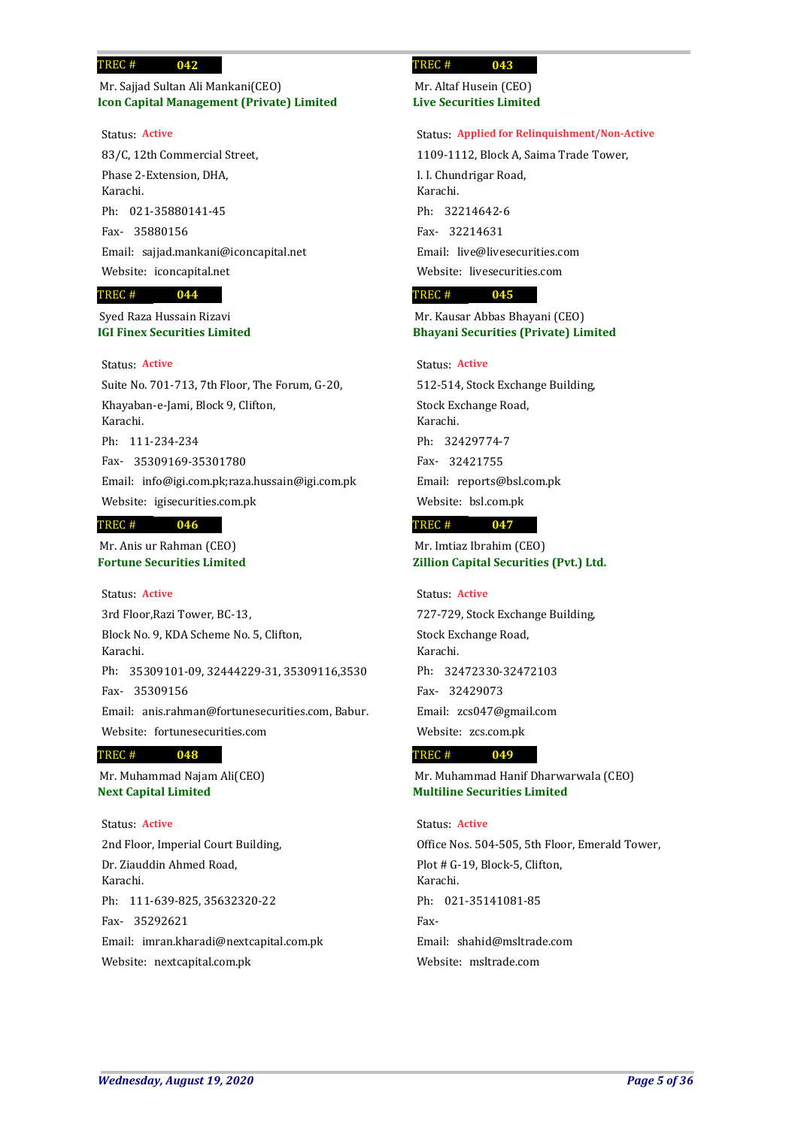## **Icon Capital Management (Private) Limited** Mr. Sajjad Sultan Ali Mankani(CEO)

### Status: **Active**

83/C, 12th Commercial Street, Phase 2-Extension, DHA, Karachi. 021-35880141-45 Ph: 35880156 Fax-Email: sajjad.mankani@iconcapital.net Website: iconcapital.net

### **044** TREC #

**IGI Finex Securities Limited** Syed Raza Hussain Rizavi

## Status: **Active**

Suite No. 701-713, 7th Floor, The Forum, G-20, Khayaban-e-Jami, Block 9, Clifton, Karachi. Ph: 111-234-234 35309169-35301780 Fax-Email: info@igi.com.pk;raza.hussain@igi.com.pk Website: igisecurities.com.pk

### **046** TREC #

**Fortune Securities Limited** Mr. Anis ur Rahman (CEO)

## Status: **Active**

3rd Floor,Razi Tower, BC-13, Block No. 9, KDA Scheme No. 5, Clifton, Karachi. Ph: 35309101-09, 32444229-31, 35309116,3530 35309156 Fax-Email: anis.rahman@fortunesecurities.com, Babur. Website: fortunesecurities.com

#### **048** TREC #

**Next Capital Limited** Mr. Muhammad Najam Ali(CEO)

## Status: **Active**

2nd Floor, Imperial Court Building, Dr. Ziauddin Ahmed Road, Karachi. Ph: 111-639-825, 35632320-22 35292621 Fax-Email: imran.kharadi@nextcapital.com.pk Website: nextcapital.com.pk

### **043** TREC #

**Live Securities Limited** Mr. Altaf Husein (CEO)

### Status: **Applied for Relinquishment/Non-Active**

1109-1112, Block A, Saima Trade Tower, I. I. Chundrigar Road, Karachi. 32214642-6 Ph: 32214631 Fax-Email: live@livesecurities.com Website: livesecurities.com

### **045** TREC #

## **Bhayani Securities (Private) Limited** Mr. Kausar Abbas Bhayani (CEO)

## Status: **Active**

512-514, Stock Exchange Building, Stock Exchange Road, Karachi. 32429774-7 Ph: 32421755 Fax-Email: reports@bsl.com.pk Website: bsl.com.pk

#### **047** TREC #

**Zillion Capital Securities (Pvt.) Ltd.** Mr. Imtiaz Ibrahim (CEO)

## Status: **Active**

727-729, Stock Exchange Building, Stock Exchange Road, Karachi. 32472330-32472103 Ph: 32429073 Fax-Email: zcs047@gmail.com Website: zcs.com.pk

#### **049** TREC #

**Multiline Securities Limited** Mr. Muhammad Hanif Dharwarwala (CEO)

## Status: **Active**

Office Nos. 504-505, 5th Floor, Emerald Tower, Plot # G-19, Block-5, Clifton, Karachi. Ph: 021-35141081-85 Fax-Email: shahid@msltrade.com Website: msltrade.com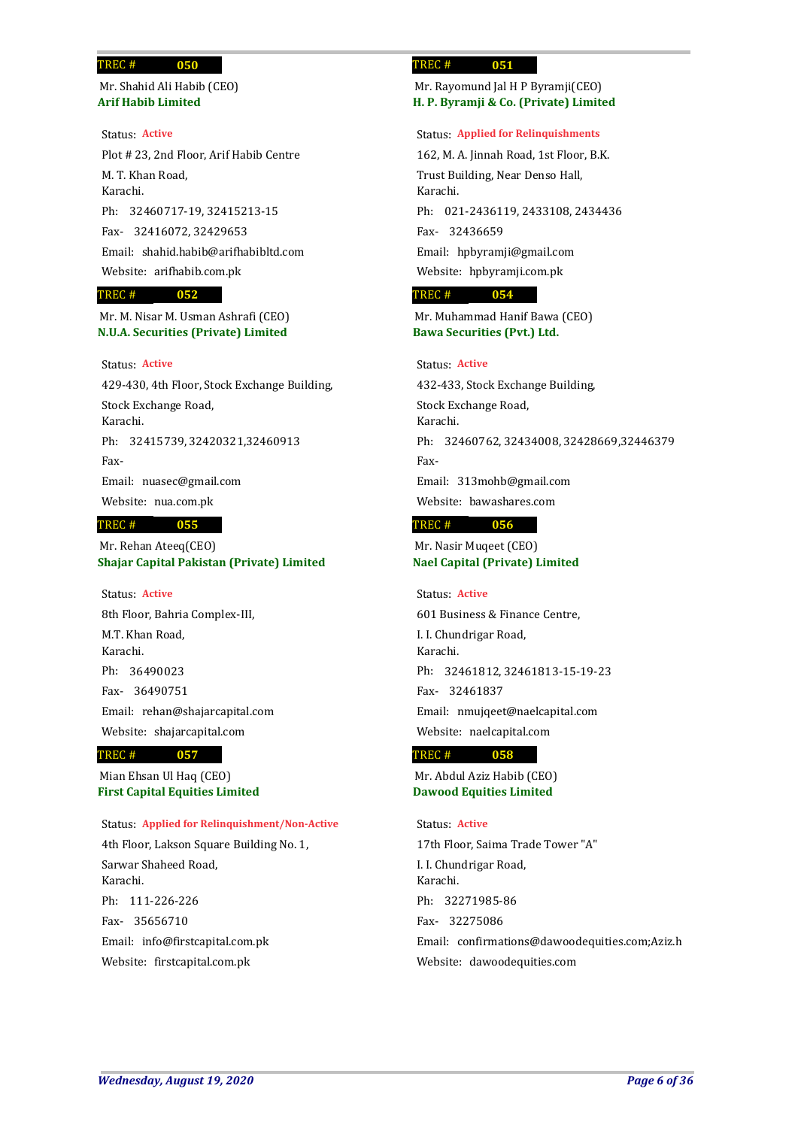**Arif Habib Limited** Mr. Shahid Ali Habib (CEO)

**050**

Plot # 23, 2nd Floor, Arif Habib Centre M. T. Khan Road, Karachi. 32460717-19, 32415213-15 Ph: 32416072, 32429653 Fax-Email: shahid.habib@arifhabibltd.com Website: arifhabib.com.pk Status: **Active**

### **052** TREC #

**N.U.A. Securities (Private) Limited** Mr. M. Nisar M. Usman Ashrafi (CEO)

## Status: **Active**

429-430, 4th Floor, Stock Exchange Building, Stock Exchange Road, Karachi. Ph: 32415739, 32420321,32460913 Fax-Email: nuasec@gmail.com Website: nua.com.pk

### **055** TREC #

**Shajar Capital Pakistan (Private) Limited** Mr. Rehan Ateeq(CEO)

8th Floor, Bahria Complex-III, M.T. Khan Road, Karachi. 36490023 Ph: 36490751 Fax-Email: rehan@shajarcapital.com Website: shajarcapital.com Status: **Active**

#### **057** TREC #

**First Capital Equities Limited** Mian Ehsan Ul Haq (CEO)

Status: **Applied for Relinquishment/Non-Active**

4th Floor, Lakson Square Building No. 1, Sarwar Shaheed Road, Karachi. Ph: 111-226-226 35656710 Fax-Email: info@firstcapital.com.pk Website: firstcapital.com.pk

### **051** TREC #

**H. P. Byramji & Co. (Private) Limited** Mr. Rayomund Jal H P Byramji(CEO)

### Status: **Applied for Relinquishments**

162, M. A. Jinnah Road, 1st Floor, B.K. Trust Building, Near Denso Hall, Karachi. 021-2436119, 2433108, 2434436 Ph: 32436659 Fax-Email: hpbyramji@gmail.com Website: hpbyramji.com.pk

#### **054** TREC #

**Bawa Securities (Pvt.) Ltd.** Mr. Muhammad Hanif Bawa (CEO)

## Status: **Active**

432-433, Stock Exchange Building, Stock Exchange Road, Karachi. Ph: 32460762, 32434008, 32428669,32446379 Fax-Email: 313mohb@gmail.com Website: bawashares.com

### **056** TREC #

**Nael Capital (Private) Limited** Mr. Nasir Muqeet (CEO)

### Status: **Active**

601 Business & Finance Centre, I. I. Chundrigar Road, Karachi. 32461812, 32461813-15-19-23 Ph: 32461837 Fax-Email: nmujqeet@naelcapital.com Website: naelcapital.com

#### **058** TREC #

**Dawood Equities Limited** Mr. Abdul Aziz Habib (CEO)

## Status: **Active**

17th Floor, Saima Trade Tower "A" I. I. Chundrigar Road, Karachi. 32271985-86 Ph: 32275086 Fax-Email: confirmations@dawoodequities.com;Aziz.h Website: dawoodequities.com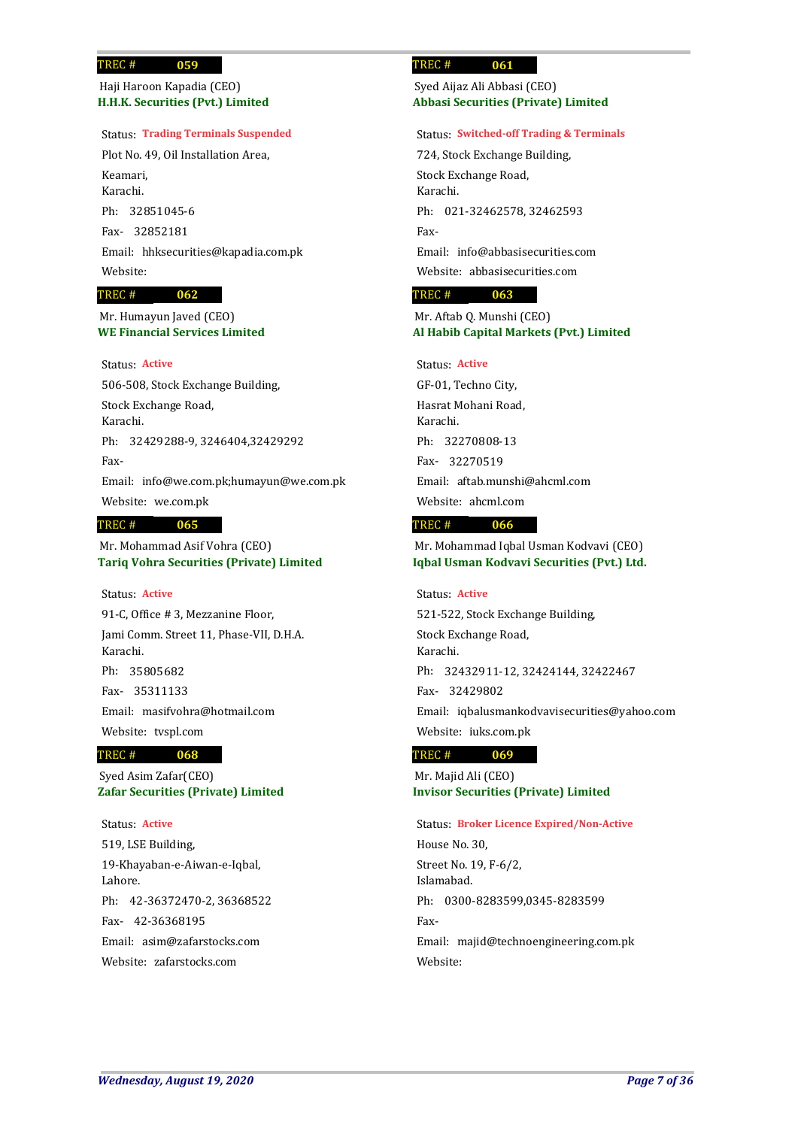## **H.H.K. Securities (Pvt.) Limited** Haji Haroon Kapadia (CEO)

### Status: **Trading Terminals Suspended**

Plot No. 49, Oil Installation Area, Keamari, Karachi. 32851045-6 Ph: 32852181 Fax-Email: hhksecurities@kapadia.com.pk Website: **062** TREC #

## **WE Financial Services Limited** Mr. Humayun Javed (CEO)

## Status: **Active**

506-508, Stock Exchange Building, Stock Exchange Road, Karachi. Ph: 32429288-9, 3246404,32429292 Fax-Email: info@we.com.pk;humayun@we.com.pk Website: we.com.pk

### **065** TREC #

**Tariq Vohra Securities (Private) Limited** Mr. Mohammad Asif Vohra (CEO)

## Status: **Active**

91-C, Office # 3, Mezzanine Floor, Jami Comm. Street 11, Phase-VII, D.H.A. Karachi. 35805682 Ph: 35311133 Fax-Email: masifvohra@hotmail.com Website: tvspl.com

### **068** TREC #

**Zafar Securities (Private) Limited** Syed Asim Zafar(CEO)

## Status: **Active**

519, LSE Building, 19-Khayaban-e-Aiwan-e-Iqbal, Lahore. 42-36372470-2, 36368522 Ph: 42-36368195 Fax-Email: asim@zafarstocks.com Website: zafarstocks.com

### **061** TREC #

## **Abbasi Securities (Private) Limited** Syed Aijaz Ali Abbasi (CEO)

### Status: **Switched-off Trading & Terminals**

724, Stock Exchange Building, Stock Exchange Road, Karachi. Ph: 021-32462578, 32462593 Fax-Email: info@abbasisecurities.com Website: abbasisecurities.com

### **063** TREC #

## **Al Habib Capital Markets (Pvt.) Limited** Mr. Aftab Q. Munshi (CEO)

### Status: **Active**

GF-01, Techno City, Hasrat Mohani Road, Karachi. 32270808-13 Ph: 32270519 Fax-Email: aftab.munshi@ahcml.com Website: ahcml.com

#### **066** TREC #

**Iqbal Usman Kodvavi Securities (Pvt.) Ltd.** Mr. Mohammad Iqbal Usman Kodvavi (CEO)

521-522, Stock Exchange Building, Stock Exchange Road, Karachi. Ph: 32432911-12, 32424144, 32422467 32429802 Fax-Email: iqbalusmankodvavisecurities@yahoo.com Website: iuks.com.pk Status: **Active**

#### **069** TREC #

**Invisor Securities (Private) Limited** Mr. Majid Ali (CEO)

## Status: **Broker Licence Expired/Non-Active**

House No. 30, Street No. 19, F-6/2, Islamabad. Ph: 0300-8283599,0345-8283599 Fax-Email: majid@technoengineering.com.pk Website: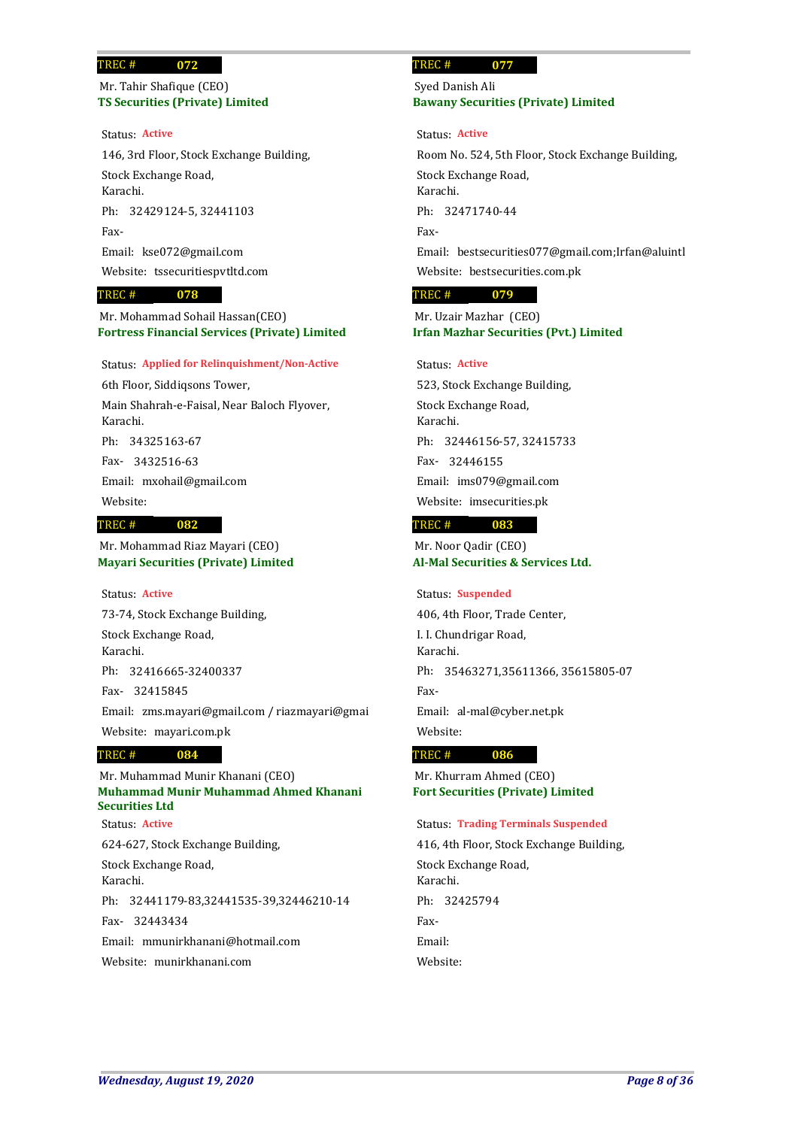## **TS Securities (Private) Limited** Mr. Tahir Shafique (CEO)

**072**

### Status: **Active**

146, 3rd Floor, Stock Exchange Building, Stock Exchange Road, Karachi. Ph: 32429124-5, 32441103 Fax-Email: kse072@gmail.com Website: tssecuritiespvtltd.com

### **078** TREC #

**Fortress Financial Services (Private) Limited** Mr. Mohammad Sohail Hassan(CEO)

### Status: **Applied for Relinquishment/Non-Active**

6th Floor, Siddiqsons Tower, Main Shahrah-e-Faisal, Near Baloch Flyover, Karachi. 34325163-67 Ph: 3432516-63 Fax-Email: mxohail@gmail.com

Website:

### **082** TREC #

**Mayari Securities (Private) Limited** Mr. Mohammad Riaz Mayari (CEO)

### Status: **Active**

73-74, Stock Exchange Building, Stock Exchange Road, Karachi. 32416665-32400337 Ph: 32415845 Fax-Email: zms.mayari@gmail.com / riazmayari@gmai Website: mayari.com.pk

#### **084** TREC #

**Muhammad Munir Muhammad Ahmed Khanani Securities Ltd** 624-627, Stock Exchange Building, Stock Exchange Road, Karachi. 32441179-83,32441535-39,32446210-14 Ph: 32443434 Fax-Email: mmunirkhanani@hotmail.com Mr. Muhammad Munir Khanani (CEO) Website: munirkhanani.com Status: **Active**

### **077** TREC #

## **Bawany Securities (Private) Limited** Syed Danish Ali

Status: **Active**

Room No. 524, 5th Floor, Stock Exchange Building, Stock Exchange Road, Karachi. Ph: 32471740-44 Fax-Email: bestsecurities077@gmail.com;Irfan@aluintl Website: bestsecurities.com.pk

### **079** TREC #

**Irfan Mazhar Securities (Pvt.) Limited** Mr. Uzair Mazhar (CEO)

## Status: **Active**

523, Stock Exchange Building, Stock Exchange Road, Karachi. 32446156-57, 32415733 Ph: 32446155 Fax-Email: ims079@gmail.com Website: imsecurities.pk

#### **083** TREC #

**Al-Mal Securities & Services Ltd.** Mr. Noor Qadir (CEO)

## Status: **Suspended**

406, 4th Floor, Trade Center, I. I. Chundrigar Road, Karachi. Ph: 35463271,35611366, 35615805-07 Fax-Email: al-mal@cyber.net.pk Website:

#### **086** TREC #

**Fort Securities (Private) Limited** Mr. Khurram Ahmed (CEO)

### Status: **Trading Terminals Suspended**

416, 4th Floor, Stock Exchange Building, Stock Exchange Road, Karachi. Ph: 32425794 Fax-Email: Website: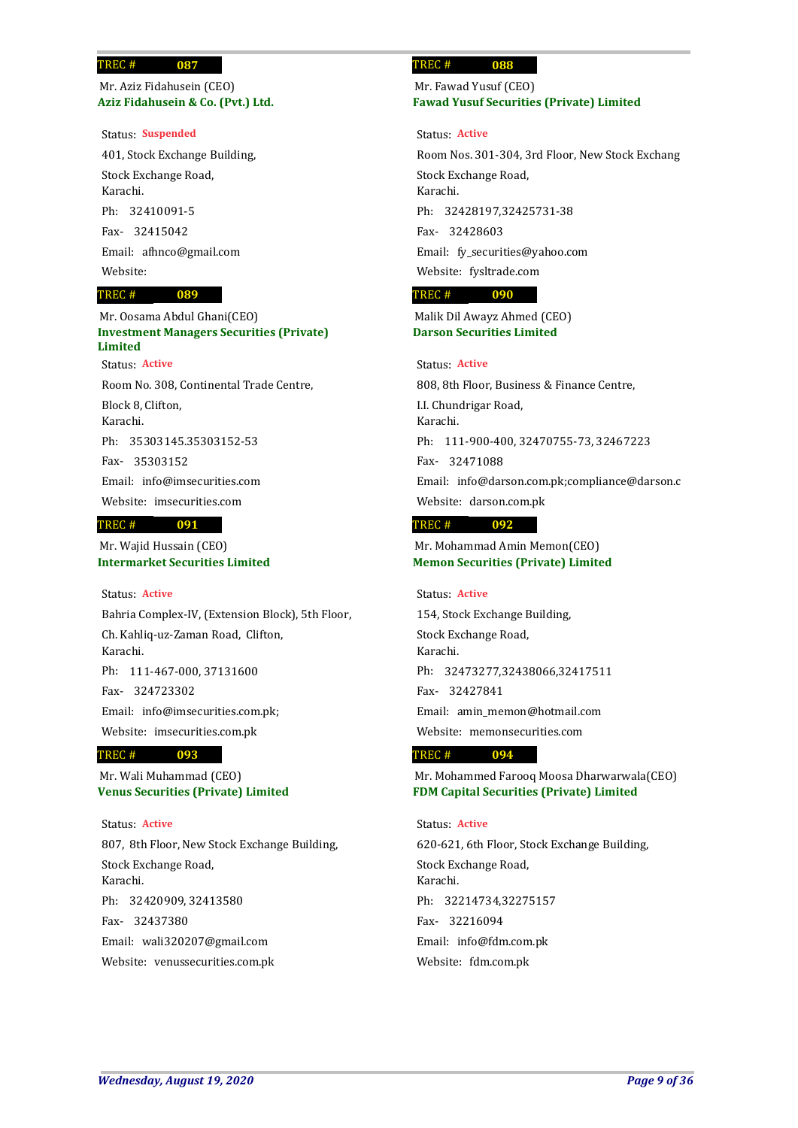**Aziz Fidahusein & Co. (Pvt.) Ltd.** Mr. Aziz Fidahusein (CEO)

### Status: **Suspended**

401, Stock Exchange Building, Stock Exchange Road, Karachi. 32410091-5 Ph: 32415042 Fax-Email: afhnco@gmail.com Website:

### **089** TREC #

**Investment Managers Securities (Private) Limited** Room No. 308, Continental Trade Centre, Block 8, Clifton, Karachi. Mr. Oosama Abdul Ghani(CEO) Status: **Active**

35303145.35303152-53 Ph:

35303152 Fax-

Email: info@imsecurities.com

Website: imsecurities.com

### **091** TREC #

**Intermarket Securities Limited** Mr. Wajid Hussain (CEO)

## Status: **Active**

Bahria Complex-IV, (Extension Block), 5th Floor, Ch. Kahliq-uz-Zaman Road, Clifton, Karachi. Ph: 111-467-000, 37131600 324723302 Fax-Email: info@imsecurities.com.pk; Website: imsecurities.com.pk

#### **093** TREC #

**Venus Securities (Private) Limited** Mr. Wali Muhammad (CEO)

## Status: **Active**

807, 8th Floor, New Stock Exchange Building, Stock Exchange Road, Karachi. 32420909, 32413580 Ph: 32437380 Fax-Email: wali320207@gmail.com Website: venussecurities.com.pk

### **088** TREC #

## **Fawad Yusuf Securities (Private) Limited** Mr. Fawad Yusuf (CEO)

Status: **Active**

Room Nos. 301-304, 3rd Floor, New Stock Exchang Stock Exchange Road, Karachi. 32428197,32425731-38 Ph: 32428603 Fax-Email: fy\_securities@yahoo.com Website: fysltrade.com

### **090** TREC #

**Darson Securities Limited** Malik Dil Awayz Ahmed (CEO)

## Status: **Active**

808, 8th Floor, Business & Finance Centre, I.I. Chundrigar Road, Karachi. Ph: 111-900-400, 32470755-73, 32467223 32471088 Fax-Email: info@darson.com.pk;compliance@darson.c Website: darson.com.pk

### **092** TREC #

**Memon Securities (Private) Limited** Mr. Mohammad Amin Memon(CEO)

## Status: **Active**

154, Stock Exchange Building, Stock Exchange Road, Karachi. Ph: 32473277,32438066,32417511 32427841 Fax-Email: amin\_memon@hotmail.com Website: memonsecurities.com

#### **094** TREC #

**FDM Capital Securities (Private) Limited** Mr. Mohammed Farooq Moosa Dharwarwala(CEO)

## Status: **Active**

620-621, 6th Floor, Stock Exchange Building, Stock Exchange Road, Karachi. 32214734,32275157 Ph: 32216094 Fax-Email: info@fdm.com.pk Website: fdm.com.pk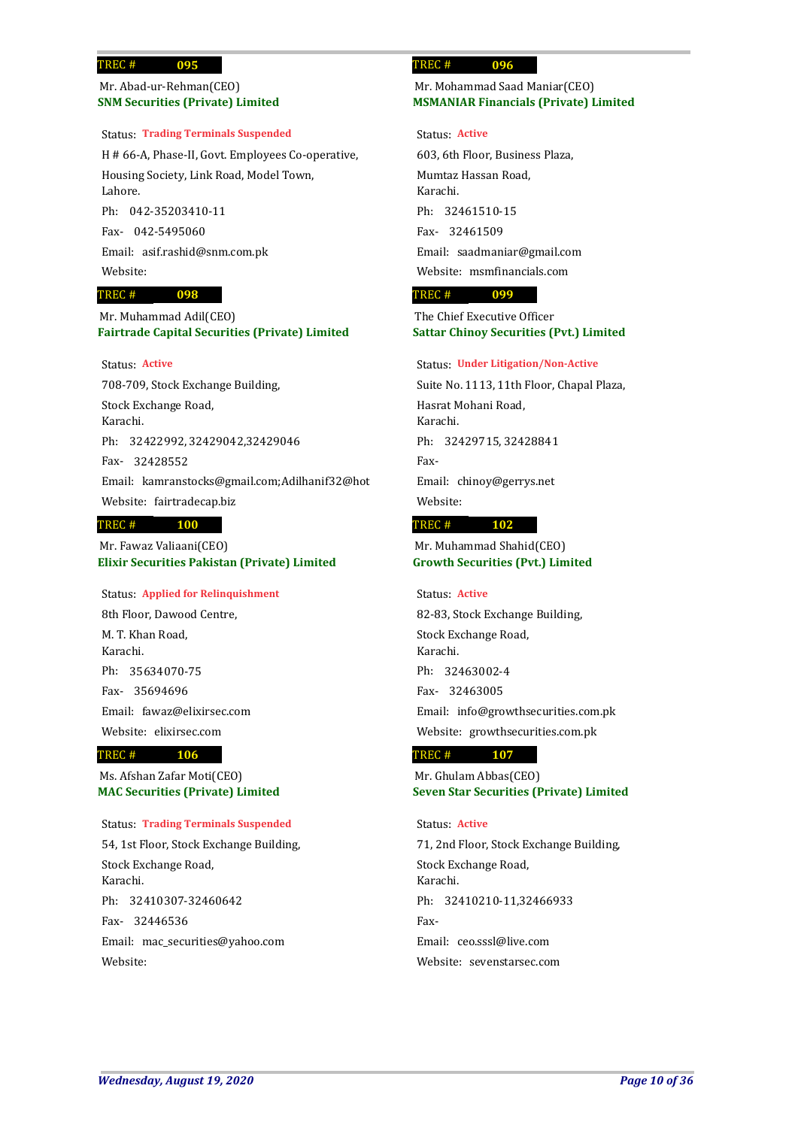## **SNM Securities (Private) Limited** Mr. Abad-ur-Rehman(CEO)

**095**

## Status: **Trading Terminals Suspended**

H # 66-A, Phase-II, Govt. Employees Co-operative, Housing Society, Link Road, Model Town, Lahore. Ph: 042-35203410-11

042-5495060 Fax-Email: asif.rashid@snm.com.pk Website:

### **098** TREC #

**Fairtrade Capital Securities (Private) Limited** Mr. Muhammad Adil(CEO)

## Status: **Active**

708-709, Stock Exchange Building, Stock Exchange Road, Karachi. 32422992, 32429042,32429046 Ph: 32428552 Fax-Email: kamranstocks@gmail.com;Adilhanif32@hot Website: fairtradecap.biz

### **100** TREC #

**Elixir Securities Pakistan (Private) Limited** Mr. Fawaz Valiaani(CEO)

## Status: **Applied for Relinquishment**

8th Floor, Dawood Centre, M. T. Khan Road, Karachi. 35634070-75 Ph: 35694696 Fax-Email: fawaz@elixirsec.com Website: elixirsec.com

#### **106** TREC #

**MAC Securities (Private) Limited** Ms. Afshan Zafar Moti(CEO)

## Status: **Trading Terminals Suspended**

54, 1st Floor, Stock Exchange Building, Stock Exchange Road, Karachi. 32410307-32460642 Ph: 32446536 Fax-Email: mac\_securities@yahoo.com Website:

### **096** TREC #

## **MSMANIAR Financials (Private) Limited** Mr. Mohammad Saad Maniar(CEO)

### Status: **Active**

603, 6th Floor, Business Plaza, Mumtaz Hassan Road, Karachi. 32461510-15 Ph: 32461509 Fax-Email: saadmaniar@gmail.com Website: msmfinancials.com

### **099** TREC #

**Sattar Chinoy Securities (Pvt.) Limited** The Chief Executive Officer

### Status: **Under Litigation/Non-Active**

Suite No. 1113, 11th Floor, Chapal Plaza, Hasrat Mohani Road, Karachi. Ph: 32429715, 32428841 Fax-Email: chinoy@gerrys.net Website:

### **102** TREC #

**Growth Securities (Pvt.) Limited** Mr. Muhammad Shahid(CEO)

### Status: **Active**

82-83, Stock Exchange Building, Stock Exchange Road, Karachi. 32463002-4 Ph: 32463005 Fax-Email: info@growthsecurities.com.pk Website: growthsecurities.com.pk

### **107** TREC #

**Seven Star Securities (Private) Limited** Mr. Ghulam Abbas(CEO)

## Status: **Active**

71, 2nd Floor, Stock Exchange Building, Stock Exchange Road, Karachi. Ph: 32410210-11,32466933 Fax-Email: ceo.sssl@live.com Website: sevenstarsec.com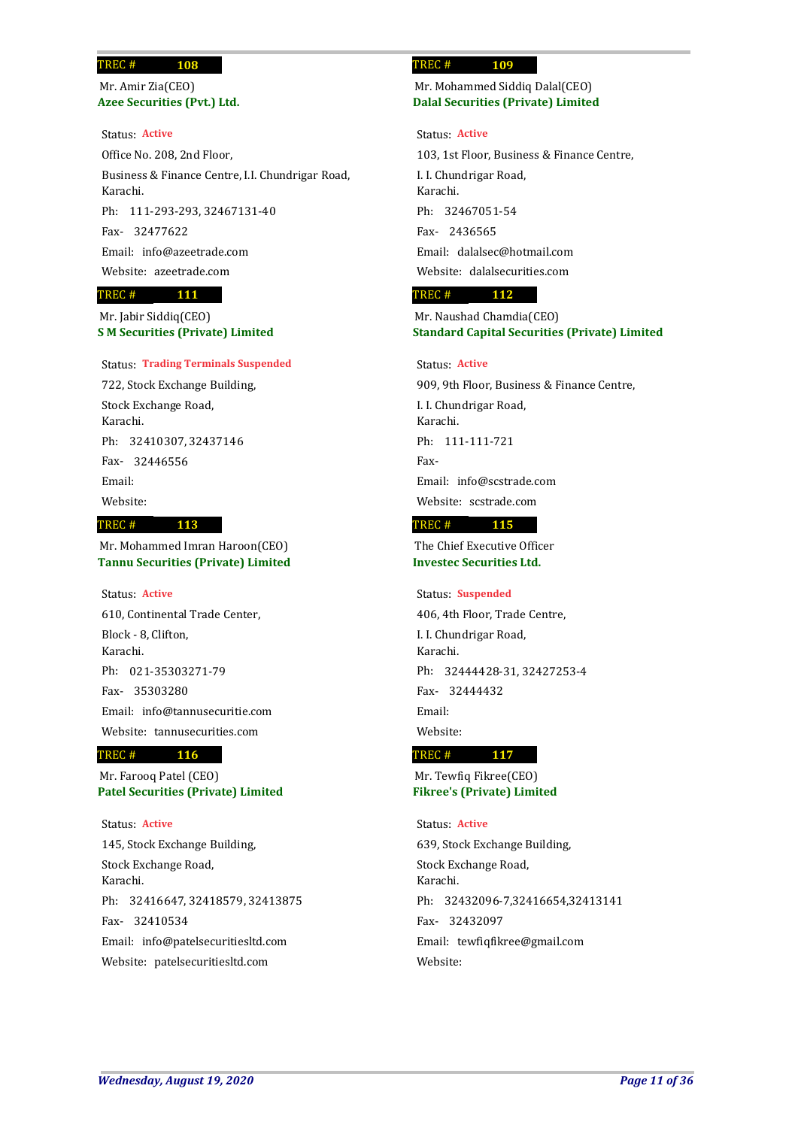**Azee Securities (Pvt.) Ltd.** Mr. Amir Zia(CEO)

### Status: **Active**

Office No. 208, 2nd Floor, Business & Finance Centre, I.I. Chundrigar Road, Karachi. Ph: 111-293-293, 32467131-40 32477622 Fax-Email: info@azeetrade.com Website: azeetrade.com

#### **111** TREC #

**S M Securities (Private) Limited** Mr. Jabir Siddiq(CEO)

### Status: **Trading Terminals Suspended**

722, Stock Exchange Building, Stock Exchange Road, Karachi. 32410307, 32437146 Ph: 32446556 Fax-Email: Website: **113**

## TREC #

**Tannu Securities (Private) Limited** Mr. Mohammed Imran Haroon(CEO)

### Status: **Active**

610, Continental Trade Center, Block - 8, Clifton, Karachi. 021-35303271-79 Ph: 35303280 Fax-Email: info@tannusecuritie.com Website: tannusecurities.com

### **116** TREC #

**Patel Securities (Private) Limited** Mr. Farooq Patel (CEO)

### Status: **Active**

145, Stock Exchange Building, Stock Exchange Road, Karachi. 32416647, 32418579, 32413875 Ph: 32410534 Fax-Email: info@patelsecuritiesltd.com Website: patelsecuritiesltd.com

### **109** TREC #

## **Dalal Securities (Private) Limited** Mr. Mohammed Siddiq Dalal(CEO)

### Status: **Active**

103, 1st Floor, Business & Finance Centre, I. I. Chundrigar Road, Karachi. 32467051-54 Ph: 2436565 Fax-Email: dalalsec@hotmail.com Website: dalalsecurities.com

### **112** TREC #

**Standard Capital Securities (Private) Limited** Mr. Naushad Chamdia(CEO)

## Status: **Active**

909, 9th Floor, Business & Finance Centre, I. I. Chundrigar Road, Karachi. Ph: 111-111-721 Fax-Email: info@scstrade.com Website: scstrade.com

#### **115** TREC #

**Investec Securities Ltd.** The Chief Executive Officer

## Status: **Suspended**

406, 4th Floor, Trade Centre, I. I. Chundrigar Road, Karachi. 32444428-31, 32427253-4 Ph: 32444432 Fax-Email: Website:

#### **117** TREC #

**Fikree's (Private) Limited** Mr. Tewfiq Fikree(CEO)

## Status: **Active**

639, Stock Exchange Building, Stock Exchange Road, Karachi. Ph: 32432096-7,32416654,32413141 32432097 Fax-Email: tewfiqfikree@gmail.com Website: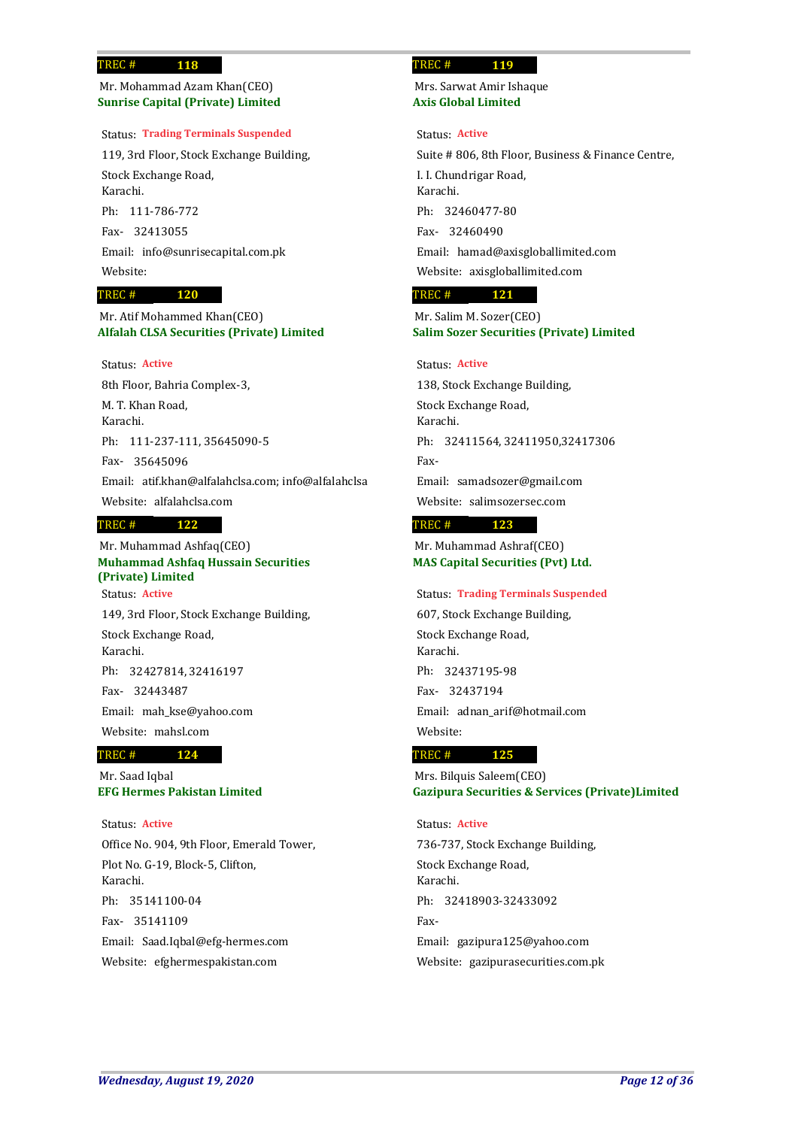## **Sunrise Capital (Private) Limited** Mr. Mohammad Azam Khan(CEO)

**118**

## Status: **Trading Terminals Suspended**

119, 3rd Floor, Stock Exchange Building, Stock Exchange Road, Karachi. Ph: 111-786-772 32413055 Fax-Email: info@sunrisecapital.com.pk Website:

### **120** TREC #

**Alfalah CLSA Securities (Private) Limited** Mr. Atif Mohammed Khan(CEO)

## Status: **Active**

8th Floor, Bahria Complex-3, M. T. Khan Road, Karachi. Ph: 111-237-111, 35645090-5 35645096 Fax-Email: atif.khan@alfalahclsa.com; info@alfalahclsa Website: alfalahclsa.com **122** TREC #

## **Muhammad Ashfaq Hussain Securities (Private) Limited** Mr. Muhammad Ashfaq(CEO)

149, 3rd Floor, Stock Exchange Building, Stock Exchange Road, Karachi. 32427814, 32416197 Ph: 32443487 Fax-Email: mah\_kse@yahoo.com Website: mahsl.com Status: **Active**

### **124** TREC #

**EFG Hermes Pakistan Limited** Mr. Saad Iqbal

## Status: **Active**

Office No. 904, 9th Floor, Emerald Tower, Plot No. G-19, Block-5, Clifton, Karachi. 35141100-04 Ph: 35141109 Fax-Email: Saad.Iqbal@efg-hermes.com Website: efghermespakistan.com

### **119** TREC #

**Axis Global Limited** Mrs. Sarwat Amir Ishaque

### Status: **Active**

Suite # 806, 8th Floor, Business & Finance Centre, I. I. Chundrigar Road, Karachi. 32460477-80 Ph: 32460490 Fax-Email: hamad@axisgloballimited.com Website: axisgloballimited.com

### **121** TREC #

**Salim Sozer Securities (Private) Limited** Mr. Salim M. Sozer(CEO)

## Status: **Active**

138, Stock Exchange Building, Stock Exchange Road, Karachi. Ph: 32411564, 32411950,32417306 Fax-Email: samadsozer@gmail.com Website: salimsozersec.com

#### **123** TREC #

**MAS Capital Securities (Pvt) Ltd.** Mr. Muhammad Ashraf(CEO)

## Status: **Trading Terminals Suspended**

607, Stock Exchange Building, Stock Exchange Road, Karachi. 32437195-98 Ph: 32437194 Fax-Email: adnan\_arif@hotmail.com Website:

#### **125** TREC #

**Gazipura Securities & Services (Private)Limited** Mrs. Bilquis Saleem(CEO)

### Status: **Active**

736-737, Stock Exchange Building, Stock Exchange Road, Karachi. Ph: 32418903-32433092 Fax-Email: gazipura125@yahoo.com Website: gazipurasecurities.com.pk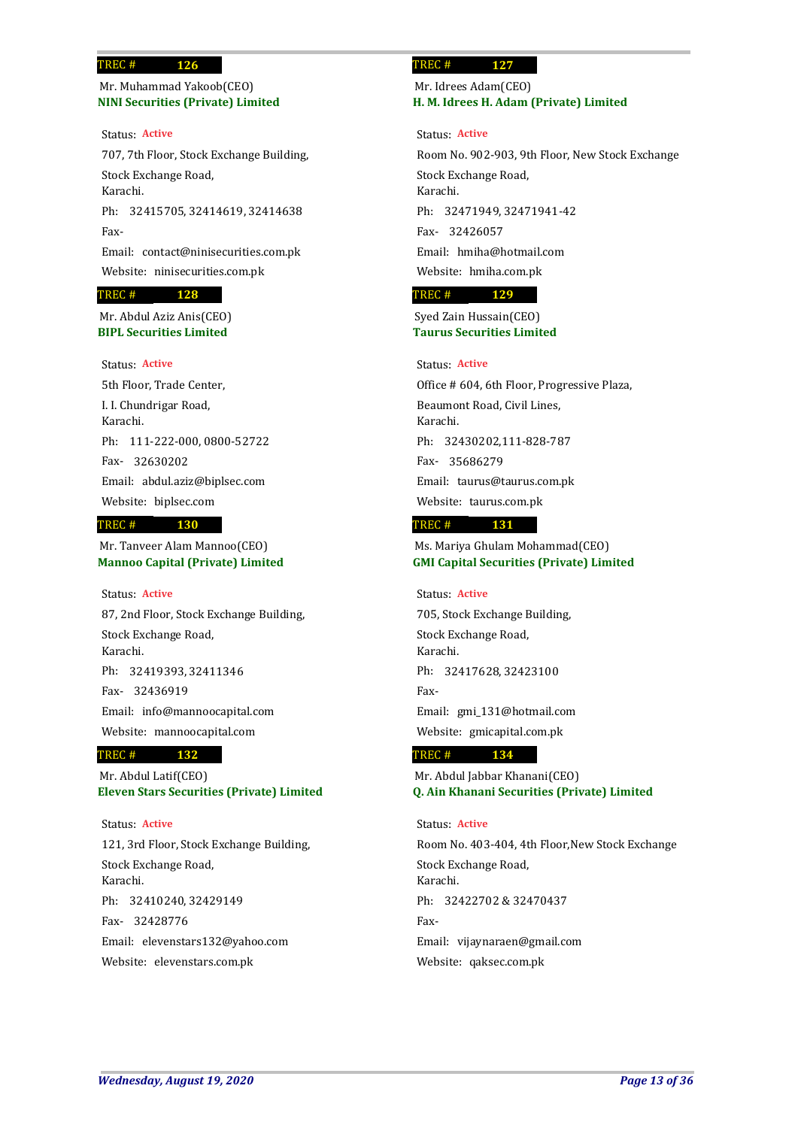## **NINI Securities (Private) Limited** Mr. Muhammad Yakoob(CEO)

**126**

707, 7th Floor, Stock Exchange Building, Stock Exchange Road, Karachi. Ph: 32415705, 32414619, 32414638 Fax-Email: contact@ninisecurities.com.pk Website: ninisecurities.com.pk Status: **Active**

#### **128** TREC #

**BIPL Securities Limited** Mr. Abdul Aziz Anis(CEO)

## Status: **Active**

5th Floor, Trade Center, I. I. Chundrigar Road, Karachi. Ph: 111-222-000, 0800-52722 32630202 Fax-Email: abdul.aziz@biplsec.com Website: biplsec.com

#### **130** TREC #

**Mannoo Capital (Private) Limited** Mr. Tanveer Alam Mannoo(CEO)

### Status: **Active**

87, 2nd Floor, Stock Exchange Building, Stock Exchange Road, Karachi. 32419393, 32411346 Ph: 32436919 Fax-Email: info@mannoocapital.com Website: mannoocapital.com

### **132** TREC #

**Eleven Stars Securities (Private) Limited** Mr. Abdul Latif(CEO)

### Status: **Active**

121, 3rd Floor, Stock Exchange Building, Stock Exchange Road, Karachi. 32410240, 32429149 Ph: 32428776 Fax-Email: elevenstars132@yahoo.com Website: elevenstars.com.pk

### **127** TREC #

## **H. M. Idrees H. Adam (Private) Limited** Mr. Idrees Adam(CEO)

Status: **Active**

Room No. 902-903, 9th Floor, New Stock Exchange Stock Exchange Road, Karachi. 32471949, 32471941-42 Ph: 32426057 Fax-Email: hmiha@hotmail.com Website: hmiha.com.pk

### **129** TREC #

**Taurus Securities Limited** Syed Zain Hussain(CEO)

## Status: **Active**

Office # 604, 6th Floor, Progressive Plaza, Beaumont Road, Civil Lines, Karachi. 32430202,111-828-787 Ph: 35686279 Fax-Email: taurus@taurus.com.pk Website: taurus.com.pk

#### **131** TREC #

**GMI Capital Securities (Private) Limited** Ms. Mariya Ghulam Mohammad(CEO)

# Status: **Active**

705, Stock Exchange Building, Stock Exchange Road, Karachi. Ph: 32417628, 32423100 Fax-Email: gmi\_131@hotmail.com Website: gmicapital.com.pk

#### **134** TREC #

**Q. Ain Khanani Securities (Private) Limited** Mr. Abdul Jabbar Khanani(CEO)

## Status: **Active**

Room No. 403-404, 4th Floor,New Stock Exchange Stock Exchange Road, Karachi. Ph: 32422702 & 32470437 Fax-Email: vijaynaraen@gmail.com Website: qaksec.com.pk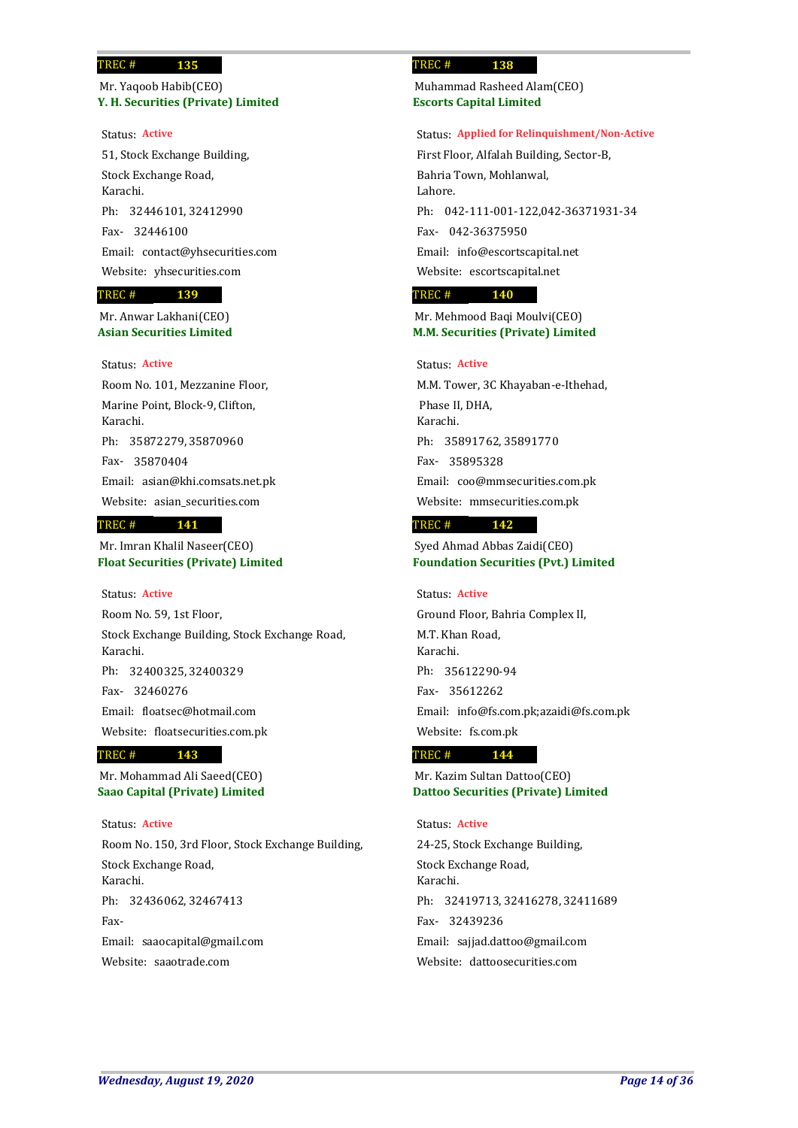## **Y. H. Securities (Private) Limited** Mr. Yaqoob Habib(CEO)

**135**

### Status: **Active**

51, Stock Exchange Building, Stock Exchange Road, Karachi. 32446101, 32412990 Ph: 32446100 Fax-Email: contact@yhsecurities.com Website: yhsecurities.com

### **139** TREC #

**Asian Securities Limited** Mr. Anwar Lakhani(CEO)

## Status: **Active**

Room No. 101, Mezzanine Floor, Marine Point, Block-9, Clifton, Karachi. 35872279, 35870960 Ph: 35870404 Fax-Email: asian@khi.comsats.net.pk Website: asian\_securities.com

### **141** TREC #

**Float Securities (Private) Limited** Mr. Imran Khalil Naseer(CEO)

### Status: **Active**

Room No. 59, 1st Floor, Stock Exchange Building, Stock Exchange Road, Karachi. 32400325, 32400329 Ph: 32460276 Fax-Email: floatsec@hotmail.com Website: floatsecurities.com.pk

### **143** TREC #

**Saao Capital (Private) Limited** Mr. Mohammad Ali Saeed(CEO)

### Status: **Active**

Room No. 150, 3rd Floor, Stock Exchange Building, Stock Exchange Road, Karachi. Ph: 32436062, 32467413 Fax-Email: saaocapital@gmail.com Website: saaotrade.com

### **138** TREC #

**Escorts Capital Limited** Muhammad Rasheed Alam(CEO)

### Status: **Applied for Relinquishment/Non-Active**

First Floor, Alfalah Building, Sector-B, Bahria Town, Mohlanwal, Lahore. Ph: 042-111-001-122,042-36371931-34 042-36375950 Fax-Email: info@escortscapital.net Website: escortscapital.net

#### **140** TREC #

**M.M. Securities (Private) Limited** Mr. Mehmood Baqi Moulvi(CEO)

## Status: **Active**

M.M. Tower, 3C Khayaban-e-Ithehad, Phase II, DHA, Karachi. 35891762, 35891770 Ph: 35895328 Fax-Email: coo@mmsecurities.com.pk Website: mmsecurities.com.pk

#### **142** TREC #

**Foundation Securities (Pvt.) Limited** Syed Ahmad Abbas Zaidi(CEO)

### Status: **Active**

Ground Floor, Bahria Complex II, M.T. Khan Road, Karachi. 35612290-94 Ph: 35612262 Fax-Email: info@fs.com.pk;azaidi@fs.com.pk Website: fs.com.pk

#### **144** TREC #

**Dattoo Securities (Private) Limited** Mr. Kazim Sultan Dattoo(CEO)

# 24-25, Stock Exchange Building, Stock Exchange Road, Karachi. 32419713, 32416278, 32411689 Ph: 32439236 Fax-Email: sajjad.dattoo@gmail.com Website: dattoosecurities.com Status: **Active**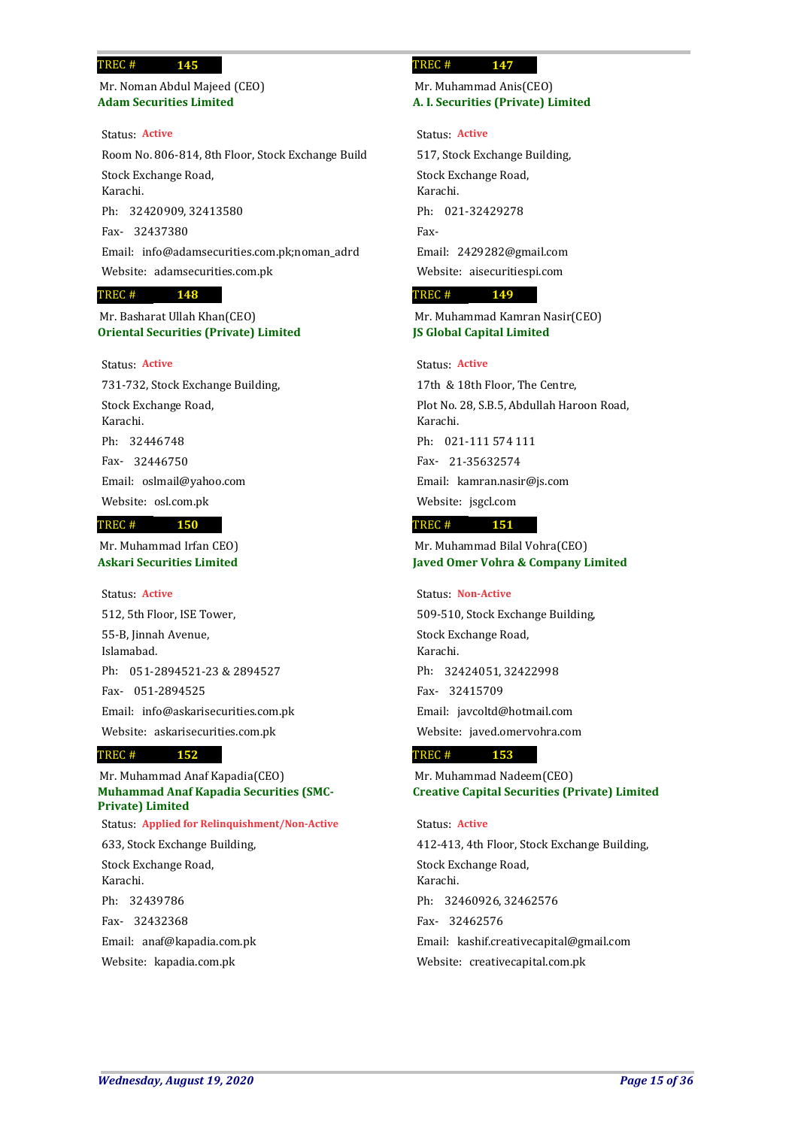**Adam Securities Limited** Mr. Noman Abdul Majeed (CEO)

**145**

Room No. 806-814, 8th Floor, Stock Exchange Build Stock Exchange Road, Karachi. 32420909, 32413580 Ph: 32437380 Fax-Email: info@adamsecurities.com.pk;noman\_adrd Website: adamsecurities.com.pk Status: **Active**

### **148** TREC #

**Oriental Securities (Private) Limited** Mr. Basharat Ullah Khan(CEO)

## Status: **Active**

731-732, Stock Exchange Building, Stock Exchange Road, Karachi. 32446748 Ph: 32446750 Fax-Email: oslmail@yahoo.com Website: osl.com.pk

### **150** TREC #

**Askari Securities Limited** Mr. Muhammad Irfan CEO)

512, 5th Floor, ISE Tower, 55-B, Jinnah Avenue, Islamabad. Ph: 051-2894521-23 & 2894527 051-2894525 Fax-Email: info@askarisecurities.com.pk Website: askarisecurities.com.pk Status: **Active**

#### **152** TREC #

**Muhammad Anaf Kapadia Securities (SMC-Private) Limited** Mr. Muhammad Anaf Kapadia(CEO)

633, Stock Exchange Building, Status: **Applied for Relinquishment/Non-Active**

Stock Exchange Road, Karachi. 32439786 Ph: 32432368 Fax-Email: anaf@kapadia.com.pk Website: kapadia.com.pk

### **147** TREC #

**A. I. Securities (Private) Limited** Mr. Muhammad Anis(CEO)

### Status: **Active**

517, Stock Exchange Building, Stock Exchange Road, Karachi. Ph: 021-32429278 Fax-Email: 2429282@gmail.com Website: aisecuritiespi.com

### **149** TREC #

**JS Global Capital Limited** Mr. Muhammad Kamran Nasir(CEO)

## Status: **Active**

17th & 18th Floor, The Centre, Plot No. 28, S.B.5, Abdullah Haroon Road, Karachi. 021-111 574 111 Ph: 21-35632574 Fax-Email: kamran.nasir@js.com Website: jsgcl.com

#### **151** TREC #

**Javed Omer Vohra & Company Limited** Mr. Muhammad Bilal Vohra(CEO)

### Status: **Non-Active**

509-510, Stock Exchange Building, Stock Exchange Road, Karachi. 32424051, 32422998 Ph: 32415709 Fax-Email: javcoltd@hotmail.com Website: javed.omervohra.com

#### **153** TREC #

**Creative Capital Securities (Private) Limited** Mr. Muhammad Nadeem(CEO)

## Status: **Active**

412-413, 4th Floor, Stock Exchange Building, Stock Exchange Road, Karachi. 32460926, 32462576 Ph: 32462576 Fax-Email: kashif.creativecapital@gmail.com Website: creativecapital.com.pk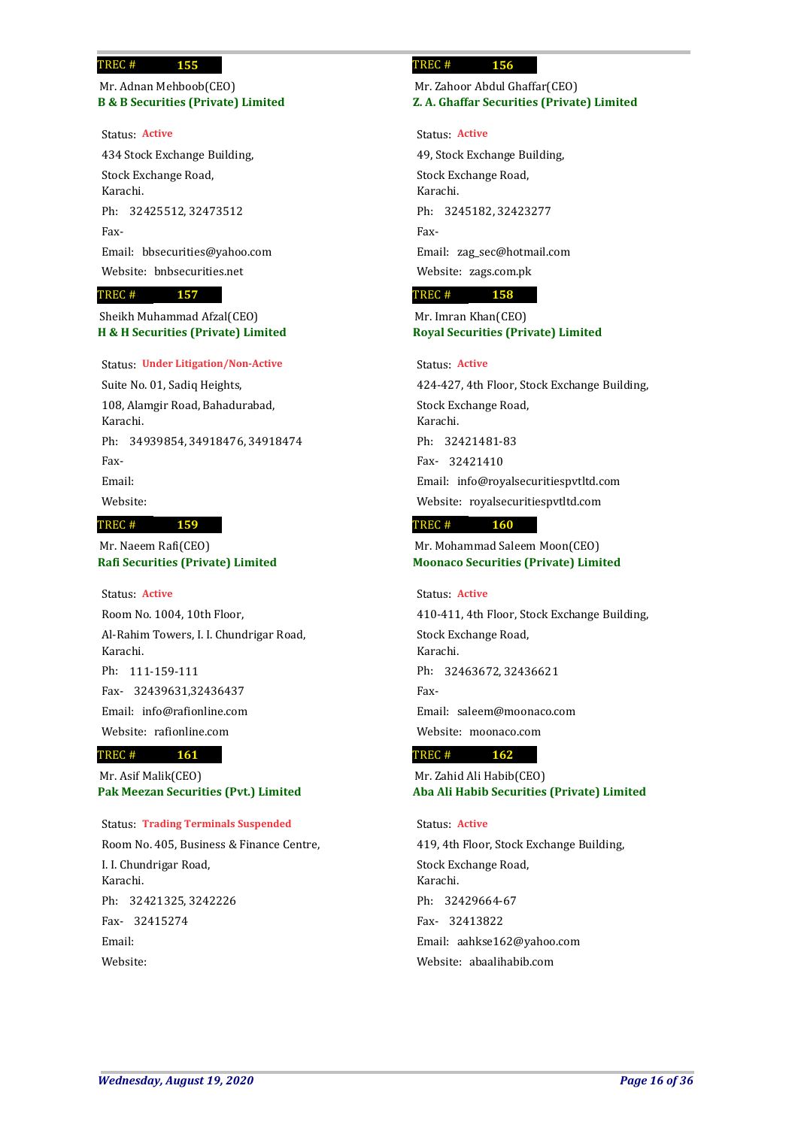## **B & B Securities (Private) Limited** Mr. Adnan Mehboob(CEO)

**155**

### Status: **Active**

434 Stock Exchange Building, Stock Exchange Road, Karachi. Ph: 32425512, 32473512 Fax-Email: bbsecurities@yahoo.com Website: bnbsecurities.net

### **157** TREC #

**H & H Securities (Private) Limited** Sheikh Muhammad Afzal(CEO)

### Status: **Under Litigation/Non-Active**

Suite No. 01, Sadiq Heights, 108, Alamgir Road, Bahadurabad, Karachi. Ph: 34939854, 34918476, 34918474 Fax-Email:

Website:

## TREC #

**Rafi Securities (Private) Limited** Mr. Naeem Rafi(CEO)

**159**

### Status: **Active**

Room No. 1004, 10th Floor, Al-Rahim Towers, I. I. Chundrigar Road, Karachi. Ph: 111-159-111 32439631,32436437 Fax-Email: info@rafionline.com Website: rafionline.com

### **161** TREC #

**Pak Meezan Securities (Pvt.) Limited** Mr. Asif Malik(CEO)

### Status: **Trading Terminals Suspended**

Room No. 405, Business & Finance Centre, I. I. Chundrigar Road, Karachi. 32421325, 3242226 Ph: 32415274 Fax-Email: Website:

### **156** TREC #

## **Z. A. Ghaffar Securities (Private) Limited** Mr. Zahoor Abdul Ghaffar(CEO)

### Status: **Active**

49, Stock Exchange Building, Stock Exchange Road, Karachi. Ph: 3245182, 32423277 Fax-Email: zag\_sec@hotmail.com Website: zags.com.pk

### **158** TREC #

## **Royal Securities (Private) Limited** Mr. Imran Khan(CEO)

### Status: **Active**

424-427, 4th Floor, Stock Exchange Building, Stock Exchange Road, Karachi. 32421481-83 Ph: 32421410 Fax-Email: info@royalsecuritiespvtltd.com Website: royalsecuritiespvtltd.com

### **160** TREC #

**Moonaco Securities (Private) Limited** Mr. Mohammad Saleem Moon(CEO)

## Status: **Active**

410-411, 4th Floor, Stock Exchange Building, Stock Exchange Road, Karachi. Ph: 32463672, 32436621 Fax-Email: saleem@moonaco.com Website: moonaco.com

#### **162** TREC #

**Aba Ali Habib Securities (Private) Limited** Mr. Zahid Ali Habib(CEO)

## Status: **Active**

419, 4th Floor, Stock Exchange Building, Stock Exchange Road, Karachi. 32429664-67 Ph: 32413822 Fax-Email: aahkse162@yahoo.com Website: abaalihabib.com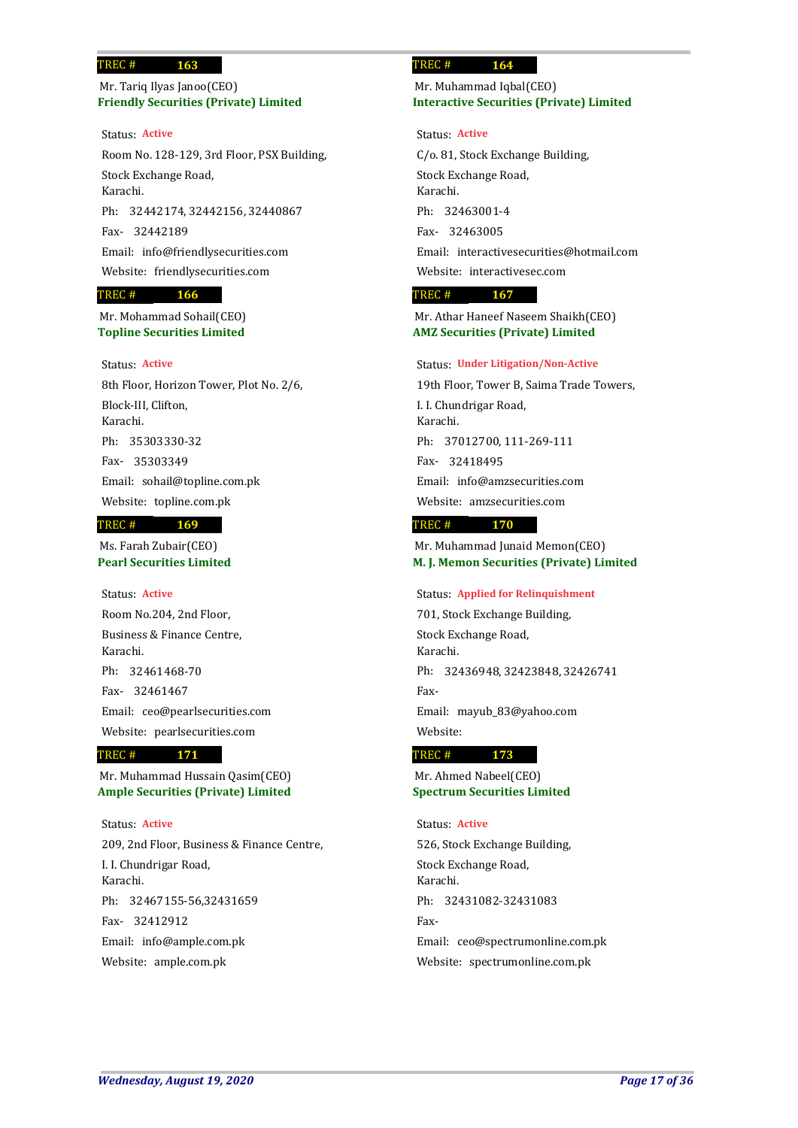## **Friendly Securities (Private) Limited** Mr. Tariq Ilyas Janoo(CEO)

**163**

Room No. 128-129, 3rd Floor, PSX Building, Stock Exchange Road, Karachi. 32442174, 32442156, 32440867 Ph: 32442189 Fax-Email: info@friendlysecurities.com Website: friendlysecurities.com Status: **Active**

### **166** TREC #

**Topline Securities Limited** Mr. Mohammad Sohail(CEO)

## Status: **Active**

8th Floor, Horizon Tower, Plot No. 2/6, Block-III, Clifton, Karachi. 35303330-32 Ph: 35303349 Fax-Email: sohail@topline.com.pk Website: topline.com.pk **169** TREC #

# Ms. Farah Zubair(CEO)

**Pearl Securities Limited**

Status: **Active**

Room No.204, 2nd Floor, Business & Finance Centre, Karachi. Ph: 32461468-70 32461467 Fax-Email: ceo@pearlsecurities.com Website: pearlsecurities.com

### **171** TREC #

**Ample Securities (Private) Limited** Mr. Muhammad Hussain Qasim(CEO)

209, 2nd Floor, Business & Finance Centre, I. I. Chundrigar Road, Karachi. Ph: 32467155-56,32431659 32412912 Fax-Email: info@ample.com.pk Website: ample.com.pk Status: **Active**

### **164** TREC #

## **Interactive Securities (Private) Limited** Mr. Muhammad Iqbal(CEO)

Status: **Active**

C/o. 81, Stock Exchange Building, Stock Exchange Road, Karachi. 32463001-4 Ph: 32463005 Fax-Email: interactivesecurities@hotmail.com Website: interactivesec.com

### **167** TREC #

**AMZ Securities (Private) Limited** Mr. Athar Haneef Naseem Shaikh(CEO)

### Status: **Under Litigation/Non-Active**

19th Floor, Tower B, Saima Trade Towers, I. I. Chundrigar Road, Karachi. 37012700, 111-269-111 Ph: 32418495 Fax-Email: info@amzsecurities.com Website: amzsecurities.com

#### **170** TREC #

**M. J. Memon Securities (Private) Limited** Mr. Muhammad Junaid Memon(CEO)

Status: **Applied for Relinquishment**

701, Stock Exchange Building, Stock Exchange Road, Karachi. Ph: 32436948, 32423848, 32426741 Fax-Email: mayub\_83@yahoo.com Website:

#### **173** TREC #

**Spectrum Securities Limited** Mr. Ahmed Nabeel(CEO)

526, Stock Exchange Building, Stock Exchange Road, Karachi. Ph: 32431082-32431083 Fax-Email: ceo@spectrumonline.com.pk Website: spectrumonline.com.pk Status: **Active**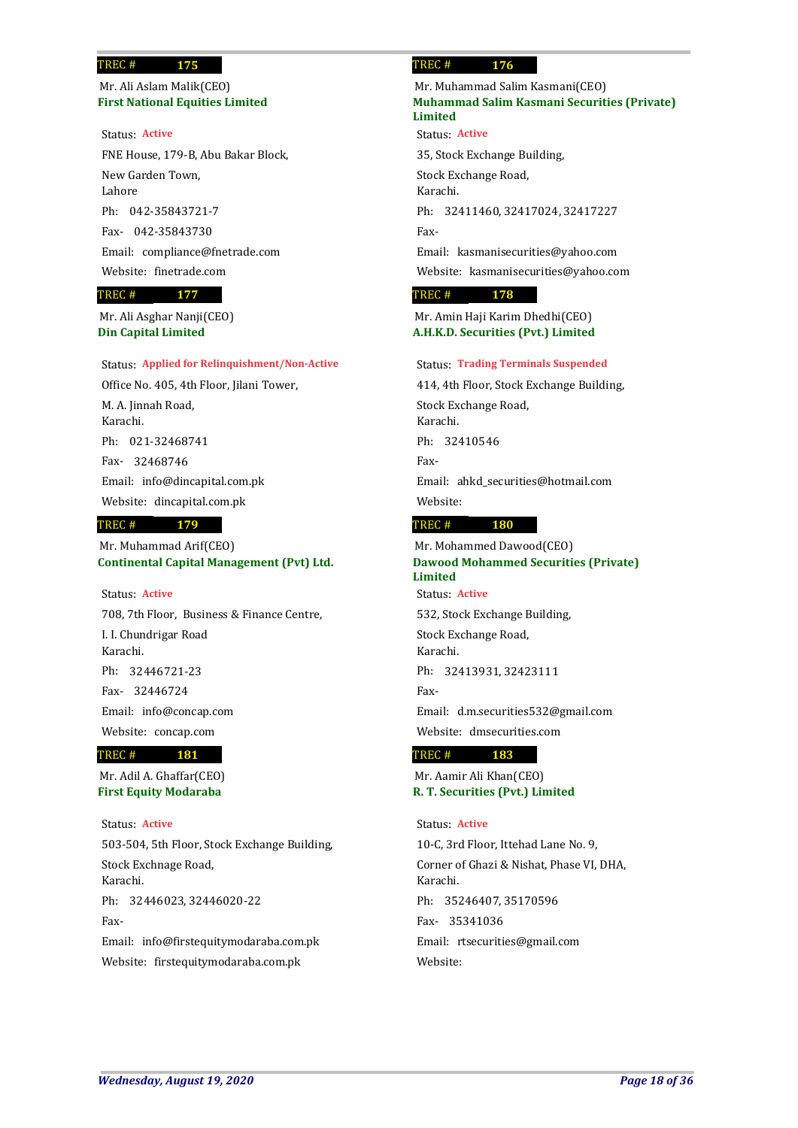## **First National Equities Limited** Mr. Ali Aslam Malik(CEO)

**175**

FNE House, 179-B, Abu Bakar Block, New Garden Town, Lahore 042-35843721-7 Ph: 042-35843730 Fax-Email: compliance@fnetrade.com Website: finetrade.com Status: **Active**

### **177** TREC #

**Din Capital Limited** Mr. Ali Asghar Nanji(CEO)

### Status: **Applied for Relinquishment/Non-Active**

Office No. 405, 4th Floor, Jilani Tower, M. A. Jinnah Road, Karachi. 021-32468741 Ph: 32468746 Fax-Email: info@dincapital.com.pk Website: dincapital.com.pk

### **179** TREC #

**Continental Capital Management (Pvt) Ltd.** Mr. Muhammad Arif(CEO)

## Status: **Active**

708, 7th Floor, Business & Finance Centre, I. I. Chundrigar Road Karachi. 32446721-23 Ph: 32446724 Fax-Email: info@concap.com Website: concap.com

### TREC #

**First Equity Modaraba** Mr. Adil A. Ghaffar(CEO)

**181**

503-504, 5th Floor, Stock Exchange Building, Stock Exchnage Road, Karachi. Ph: 32446023, 32446020-22 Fax-Email: info@firstequitymodaraba.com.pk Website: firstequitymodaraba.com.pk Status: **Active**

### **176** TREC #

## **Muhammad Salim Kasmani Securities (Private) Limited** Mr. Muhammad Salim Kasmani(CEO)

Status: **Active**

35, Stock Exchange Building, Stock Exchange Road, Karachi. Ph: 32411460, 32417024, 32417227 Fax-Email: kasmanisecurities@yahoo.com Website: kasmanisecurities@yahoo.com

### **178** TREC #

**A.H.K.D. Securities (Pvt.) Limited** Mr. Amin Haji Karim Dhedhi(CEO)

### Status: **Trading Terminals Suspended**

414, 4th Floor, Stock Exchange Building, Stock Exchange Road, Karachi. Ph: 32410546 Fax-Email: ahkd\_securities@hotmail.com Website:

#### **180** TREC #

## **Dawood Mohammed Securities (Private) Limited** Mr. Mohammed Dawood(CEO) Status: **Active**

532, Stock Exchange Building, Stock Exchange Road, Karachi. Ph: 32413931, 32423111 Fax-Email: d.m.securities532@gmail.com

Website: dmsecurities.com

### **183** TREC #

**R. T. Securities (Pvt.) Limited** Mr. Aamir Ali Khan(CEO)

## Status: **Active**

10-C, 3rd Floor, Ittehad Lane No. 9, Corner of Ghazi & Nishat, Phase VI, DHA, Karachi. 35246407, 35170596 Ph: 35341036 Fax-Email: rtsecurities@gmail.com Website: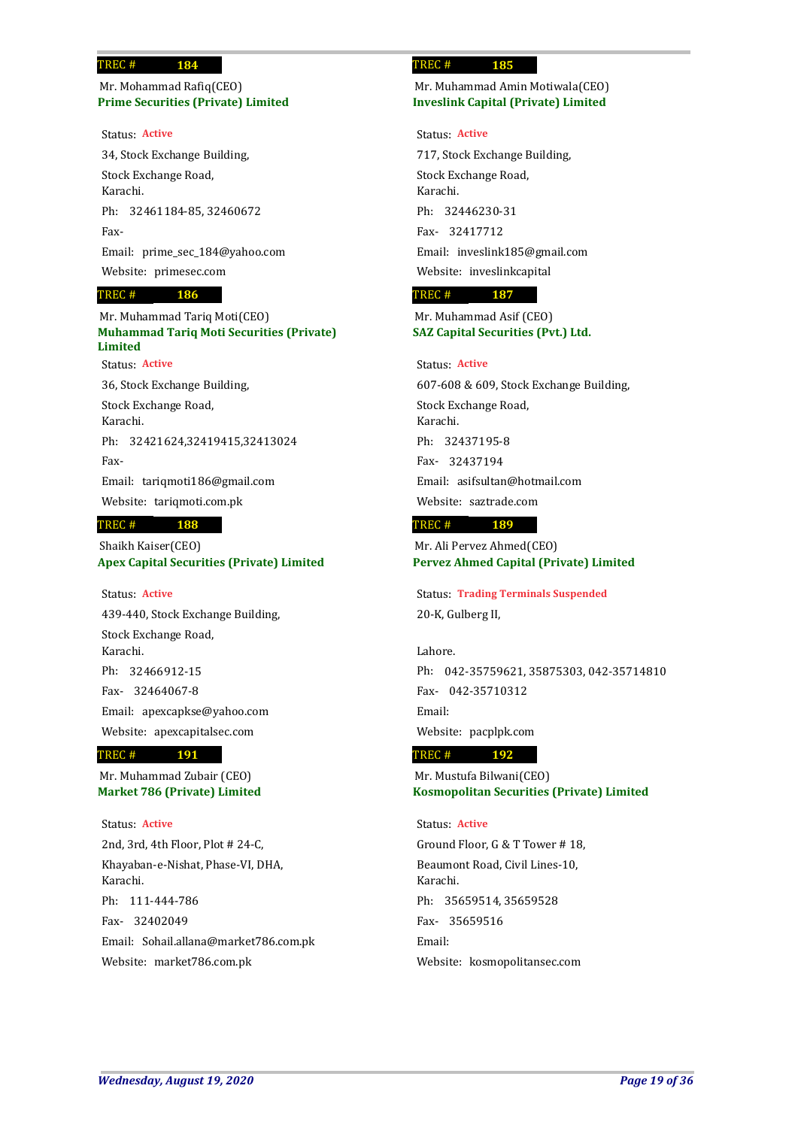## **Prime Securities (Private) Limited** Mr. Mohammad Rafiq(CEO)

**184**

### Status: **Active**

34, Stock Exchange Building, Stock Exchange Road, Karachi. Ph: 32461184-85, 32460672 Fax-Email: prime\_sec\_184@yahoo.com Website: primesec.com

#### **186** TREC #

## **Muhammad Tariq Moti Securities (Private) Limited** Mr. Muhammad Tariq Moti(CEO) Status: **Active**

36, Stock Exchange Building, Stock Exchange Road, Karachi. Ph: 32421624,32419415,32413024 Fax-Email: tariqmoti186@gmail.com Website: tariqmoti.com.pk

### **188** TREC #

**Apex Capital Securities (Private) Limited** Shaikh Kaiser(CEO)

## Status: **Active**

439-440, Stock Exchange Building, Stock Exchange Road, Karachi. 32466912-15 Ph: 32464067-8 Fax-Email: apexcapkse@yahoo.com Website: apexcapitalsec.com

#### **191** TREC #

**Market 786 (Private) Limited** Mr. Muhammad Zubair (CEO)

2nd, 3rd, 4th Floor, Plot # 24-C, Khayaban-e-Nishat, Phase-VI, DHA, Karachi. Ph: 111-444-786 32402049 Fax-Email: Sohail.allana@market786.com.pk Website: market786.com.pk Status: **Active**

### **185** TREC #

## **Inveslink Capital (Private) Limited** Mr. Muhammad Amin Motiwala(CEO)

### Status: **Active**

717, Stock Exchange Building, Stock Exchange Road, Karachi. 32446230-31 Ph: 32417712 Fax-Email: inveslink185@gmail.com Website: inveslinkcapital

### **187** TREC #

## **SAZ Capital Securities (Pvt.) Ltd.** Mr. Muhammad Asif (CEO)

## Status: **Active**

607-608 & 609, Stock Exchange Building, Stock Exchange Road, Karachi. 32437195-8 Ph: 32437194 Fax-Email: asifsultan@hotmail.com Website: saztrade.com

#### **189** TREC #

**Pervez Ahmed Capital (Private) Limited** Mr. Ali Pervez Ahmed(CEO)

20-K, Gulberg II, Status: **Trading Terminals Suspended**

Lahore. Ph: 042-35759621, 35875303, 042-35714810 042-35710312 Fax-Email: Website: pacplpk.com

#### **192** TREC #

**Kosmopolitan Securities (Private) Limited** Mr. Mustufa Bilwani(CEO)

## Status: **Active**

Ground Floor, G & T Tower # 18, Beaumont Road, Civil Lines-10, Karachi. 35659514, 35659528 Ph: 35659516 Fax-Email: Website: kosmopolitansec.com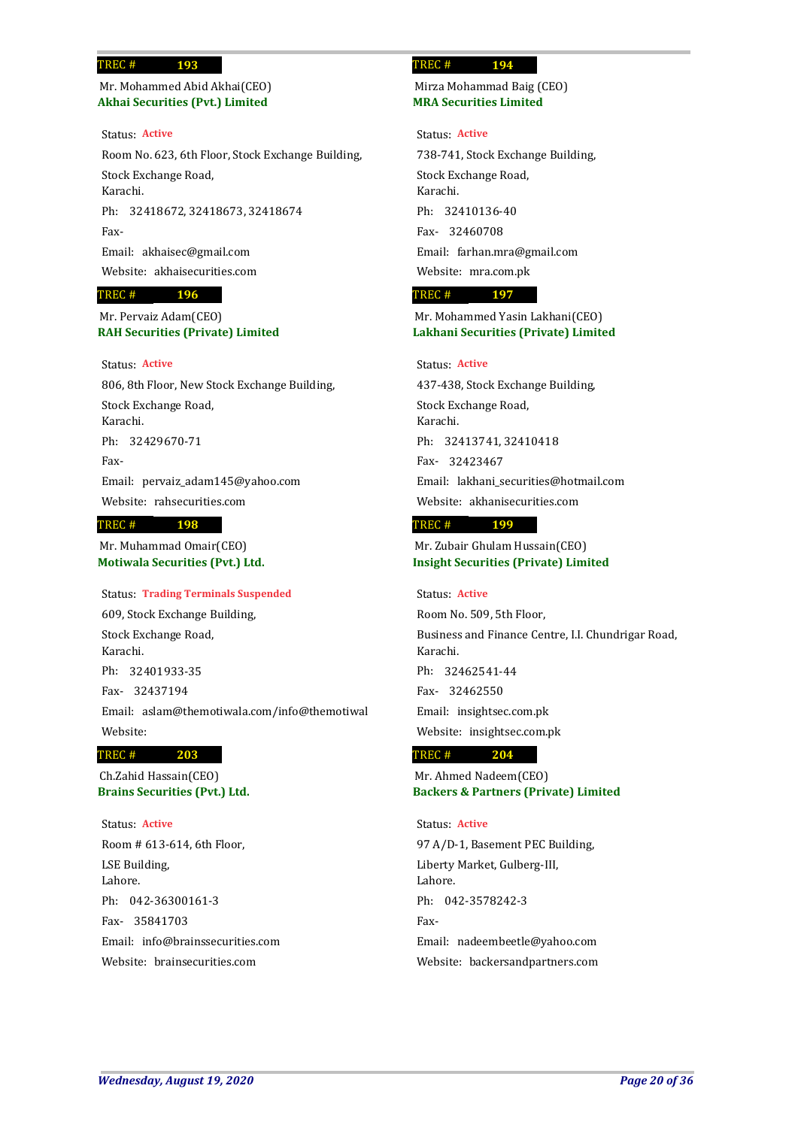## **Akhai Securities (Pvt.) Limited** Mr. Mohammed Abid Akhai(CEO)

**193**

Status: **Active**

Room No. 623, 6th Floor, Stock Exchange Building, Stock Exchange Road, Karachi. Ph: 32418672, 32418673, 32418674 Fax-Email: akhaisec@gmail.com Website: akhaisecurities.com

### **196** TREC #

## **RAH Securities (Private) Limited** Mr. Pervaiz Adam(CEO)

## Status: **Active**

806, 8th Floor, New Stock Exchange Building, Stock Exchange Road, Karachi. Ph: 32429670-71 Fax-Email: pervaiz\_adam145@yahoo.com Website: rahsecurities.com **198** TREC #

## **Motiwala Securities (Pvt.) Ltd.** Mr. Muhammad Omair(CEO)

## Status: **Trading Terminals Suspended**

609, Stock Exchange Building, Stock Exchange Road, Karachi. 32401933-35 Ph: 32437194 Fax-Email: aslam@themotiwala.com/info@themotiwal Website:

#### **203** TREC #

**Brains Securities (Pvt.) Ltd.** Ch.Zahid Hassain(CEO)

Room # 613-614, 6th Floor, LSE Building, Lahore. Ph: 042-36300161-3 35841703 Fax-Email: info@brainssecurities.com Website: brainsecurities.com Status: **Active**

### **194** TREC #

**MRA Securities Limited** Mirza Mohammad Baig (CEO)

Status: **Active**

738-741, Stock Exchange Building, Stock Exchange Road, Karachi. 32410136-40 Ph: 32460708 Fax-Email: farhan.mra@gmail.com Website: mra.com.pk

### **197** TREC #

## **Lakhani Securities (Private) Limited** Mr. Mohammed Yasin Lakhani(CEO)

## Status: **Active**

437-438, Stock Exchange Building, Stock Exchange Road, Karachi. 32413741, 32410418 Ph: 32423467 Fax-Email: lakhani\_securities@hotmail.com Website: akhanisecurities.com

#### **199** TREC #

**Insight Securities (Private) Limited** Mr. Zubair Ghulam Hussain(CEO)

### Status: **Active**

Room No. 509, 5th Floor, Business and Finance Centre, I.I. Chundrigar Road, Karachi. 32462541-44 Ph: 32462550 Fax-Email: insightsec.com.pk Website: insightsec.com.pk

#### **204** TREC #

**Backers & Partners (Private) Limited** Mr. Ahmed Nadeem(CEO)

97 A/D-1, Basement PEC Building, Liberty Market, Gulberg-III, Lahore. Ph: 042-3578242-3 Fax-Email: nadeembeetle@yahoo.com Website: backersandpartners.com Status: **Active**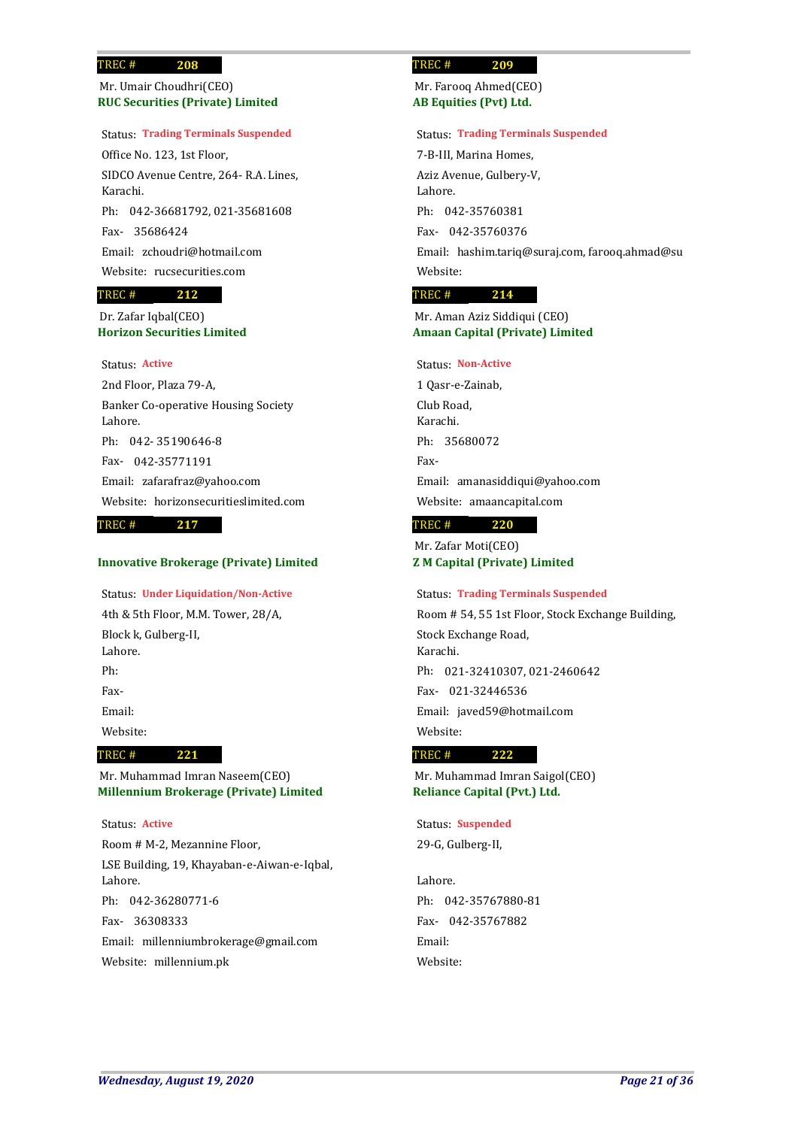**RUC Securities (Private) Limited** Mr. Umair Choudhri(CEO)

### Status: **Trading Terminals Suspended**

Office No. 123, 1st Floor, SIDCO Avenue Centre, 264- R.A. Lines, Karachi. Ph: 042-36681792, 021-35681608 35686424 Fax-Email: zchoudri@hotmail.com Website: rucsecurities.com

### **212** TREC #

**Horizon Securities Limited** Dr. Zafar Iqbal(CEO)

## Status: **Active**

2nd Floor, Plaza 79-A, Banker Co-operative Housing Society Lahore. Ph: 042-35190646-8 042-35771191 Fax-Email: zafarafraz@yahoo.com Website: horizonsecuritieslimited.com

### **217** TREC #

## **Innovative Brokerage (Private) Limited**

Status: **Under Liquidation/Non-Active**

4th & 5th Floor, M.M. Tower, 28/A, Block k, Gulberg-II, Lahore. Ph: Fax-Email: Website:

#### **221** TREC #

**Millennium Brokerage (Private) Limited** Mr. Muhammad Imran Naseem(CEO)

Status: **Active**

Room # M-2, Mezannine Floor, LSE Building, 19, Khayaban-e-Aiwan-e-Iqbal, Lahore. Ph: 042-36280771-6 36308333 Fax-Email: millenniumbrokerage@gmail.com Website: millennium.pk

### **209** TREC #

**AB Equities (Pvt) Ltd.** Mr. Farooq Ahmed(CEO)

### Status: **Trading Terminals Suspended**

7-B-III, Marina Homes, Aziz Avenue, Gulbery-V, Lahore. 042-35760381 Ph: 042-35760376 Fax-Email: hashim.tariq@suraj.com, farooq.ahmad@su Website:

### **214** TREC #

## **Amaan Capital (Private) Limited** Mr. Aman Aziz Siddiqui (CEO)

### Status: **Non-Active**

1 Qasr-e-Zainab, Club Road, Karachi. Ph: 35680072 Fax-Email: amanasiddiqui@yahoo.com Website: amaancapital.com

#### **220** TREC #

**Z M Capital (Private) Limited** Mr. Zafar Moti(CEO)

## Status: **Trading Terminals Suspended**

Room # 54, 55 1st Floor, Stock Exchange Building, Stock Exchange Road, Karachi. Ph: 021-32410307, 021-2460642 021-32446536 Fax-Email: javed59@hotmail.com Website:

#### **222** TREC #

**Reliance Capital (Pvt.) Ltd.** Mr. Muhammad Imran Saigol(CEO)

29-G, Gulberg-II, Status: **Suspended**

Lahore. 042-35767880-81 Ph: 042-35767882 Fax-Email: Website: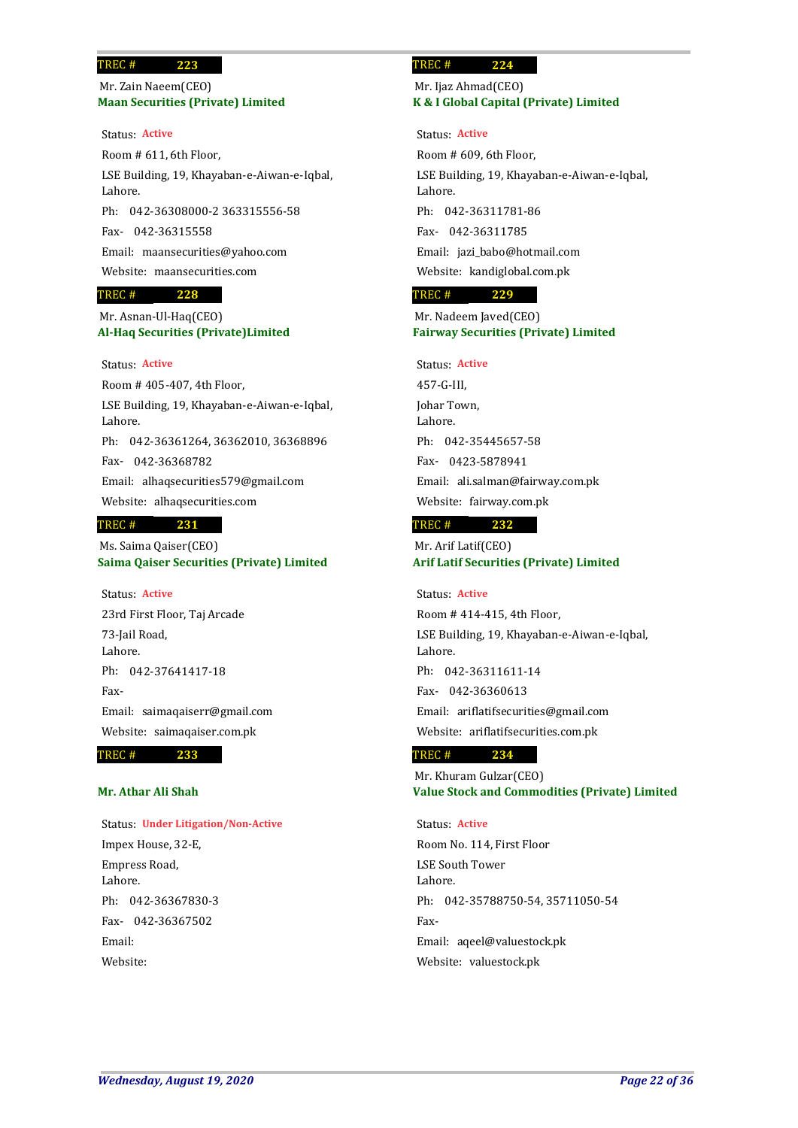## **Maan Securities (Private) Limited** Mr. Zain Naeem(CEO)

**223**

Status: **Active**

Room # 611, 6th Floor, LSE Building, 19, Khayaban-e-Aiwan-e-Iqbal, Lahore. Ph: 042-36308000-2 363315556-58 042-36315558 Fax-Email: maansecurities@yahoo.com Website: maansecurities.com

### **228** TREC #

## **Al-Haq Securities (Private)Limited** Mr. Asnan-Ul-Haq(CEO)

### Status: **Active**

Room # 405-407, 4th Floor, LSE Building, 19, Khayaban-e-Aiwan-e-Iqbal, Lahore. Ph: 042-36361264, 36362010, 36368896 042-36368782 Fax-Email: alhaqsecurities579@gmail.com Website: alhaqsecurities.com

### **231** TREC #

**Saima Qaiser Securities (Private) Limited** Ms. Saima Qaiser(CEO)

Status: **Active**

23rd First Floor, Taj Arcade 73-Jail Road, Lahore. Ph: 042-37641417-18 Fax-Email: saimaqaiserr@gmail.com Website: saimaqaiser.com.pk

**233** TREC #

## **Mr. Athar Ali Shah**

### Status: **Under Litigation/Non-Active**

Impex House, 32-E, Empress Road, Lahore. 042-36367830-3 Ph: 042-36367502 Fax-Email: Website:

### **224** TREC #

## **K & I Global Capital (Private) Limited** Mr. Ijaz Ahmad(CEO)

### Status: **Active**

Room # 609, 6th Floor, LSE Building, 19, Khayaban-e-Aiwan-e-Iqbal, Lahore. 042-36311781-86 Ph: 042-36311785 Fax-Email: jazi\_babo@hotmail.com Website: kandiglobal.com.pk

### **229** TREC #

## **Fairway Securities (Private) Limited** Mr. Nadeem Javed(CEO)

## Status: **Active**

457-G-III, Johar Town, Lahore. 042-35445657-58 Ph: 0423-5878941 Fax-Email: ali.salman@fairway.com.pk Website: fairway.com.pk

### **232** TREC #

**Arif Latif Securities (Private) Limited** Mr. Arif Latif(CEO)

### Status: **Active**

Room # 414-415, 4th Floor, LSE Building, 19, Khayaban-e-Aiwan-e-Iqbal, Lahore. Ph: 042-36311611-14 042-36360613 Fax-Email: ariflatifsecurities@gmail.com Website: ariflatifsecurities.com.pk

### **234** TREC #

**Value Stock and Commodities (Private) Limited** Mr. Khuram Gulzar(CEO)

## Status: **Active**

Room No. 114, First Floor LSE South Tower Lahore. Ph: 042-35788750-54, 35711050-54 Fax-Email: aqeel@valuestock.pk Website: valuestock.pk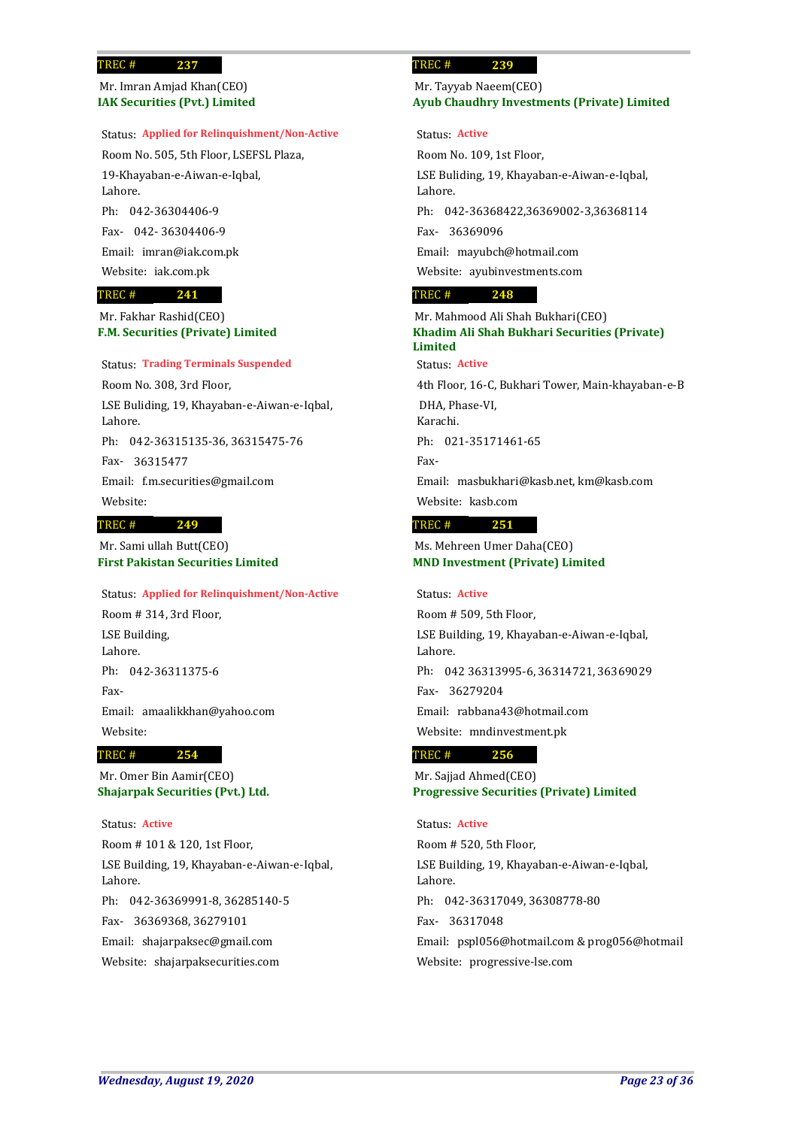**IAK Securities (Pvt.) Limited** Mr. Imran Amjad Khan(CEO)

## Status: **Applied for Relinquishment/Non-Active**

Room No. 505, 5th Floor, LSEFSL Plaza, 19-Khayaban-e-Aiwan-e-Iqbal, Lahore. Ph: 042-36304406-9 042- 36304406-9 Fax-Email: imran@iak.com.pk

Website: iak.com.pk

### **241** TREC #

**F.M. Securities (Private) Limited** Mr. Fakhar Rashid(CEO)

### Status: **Trading Terminals Suspended**

Room No. 308, 3rd Floor, LSE Buliding, 19, Khayaban-e-Aiwan-e-Iqbal, Lahore. Ph: 042-36315135-36, 36315475-76 36315477 Fax-Email: f.m.securities@gmail.com

# Website:

### **249** TREC #

**First Pakistan Securities Limited** Mr. Sami ullah Butt(CEO)

Room # 314, 3rd Floor, LSE Building, Lahore. Ph: 042-36311375-6 Fax-Email: amaalikkhan@yahoo.com Website: Status: **Applied for Relinquishment/Non-Active**

#### **254** TREC #

**Shajarpak Securities (Pvt.) Ltd.** Mr. Omer Bin Aamir(CEO)

Status: **Active**

Room # 101 & 120, 1st Floor, LSE Building, 19, Khayaban-e-Aiwan-e-Iqbal, Lahore. Ph: 042-36369991-8, 36285140-5 36369368, 36279101 Fax-Email: shajarpaksec@gmail.com Website: shajarpaksecurities.com

### **239** TREC #

## **Ayub Chaudhry Investments (Private) Limited** Mr. Tayyab Naeem(CEO)

### Status: **Active**

Room No. 109, 1st Floor, LSE Buliding, 19, Khayaban-e-Aiwan-e-Iqbal, Lahore. Ph: 042-36368422,36369002-3,36368114 36369096 Fax-Email: mayubch@hotmail.com Website: ayubinvestments.com

#### **248** TREC #

**Khadim Ali Shah Bukhari Securities (Private) Limited** Mr. Mahmood Ali Shah Bukhari(CEO) Status: **Active**

4th Floor, 16-C, Bukhari Tower, Main-khayaban-e-B DHA, Phase-VI, Karachi. Ph: 021-35171461-65 Fax-Email: masbukhari@kasb.net, km@kasb.com Website: kasb.com

#### **251** TREC #

**MND Investment (Private) Limited** Ms. Mehreen Umer Daha(CEO)

### Status: **Active**

Room # 509, 5th Floor, LSE Building, 19, Khayaban-e-Aiwan-e-Iqbal, Lahore. Ph: 042 36313995-6, 36314721, 36369029 36279204 Fax-Email: rabbana43@hotmail.com Website: mndinvestment.pk

#### **256** TREC #

**Progressive Securities (Private) Limited** Mr. Sajjad Ahmed(CEO)

### Status: **Active**

Room # 520, 5th Floor, LSE Building, 19, Khayaban-e-Aiwan-e-Iqbal, Lahore. Ph: 042-36317049, 36308778-80 36317048 Fax-Email: pspl056@hotmail.com & prog056@hotmail Website: progressive-lse.com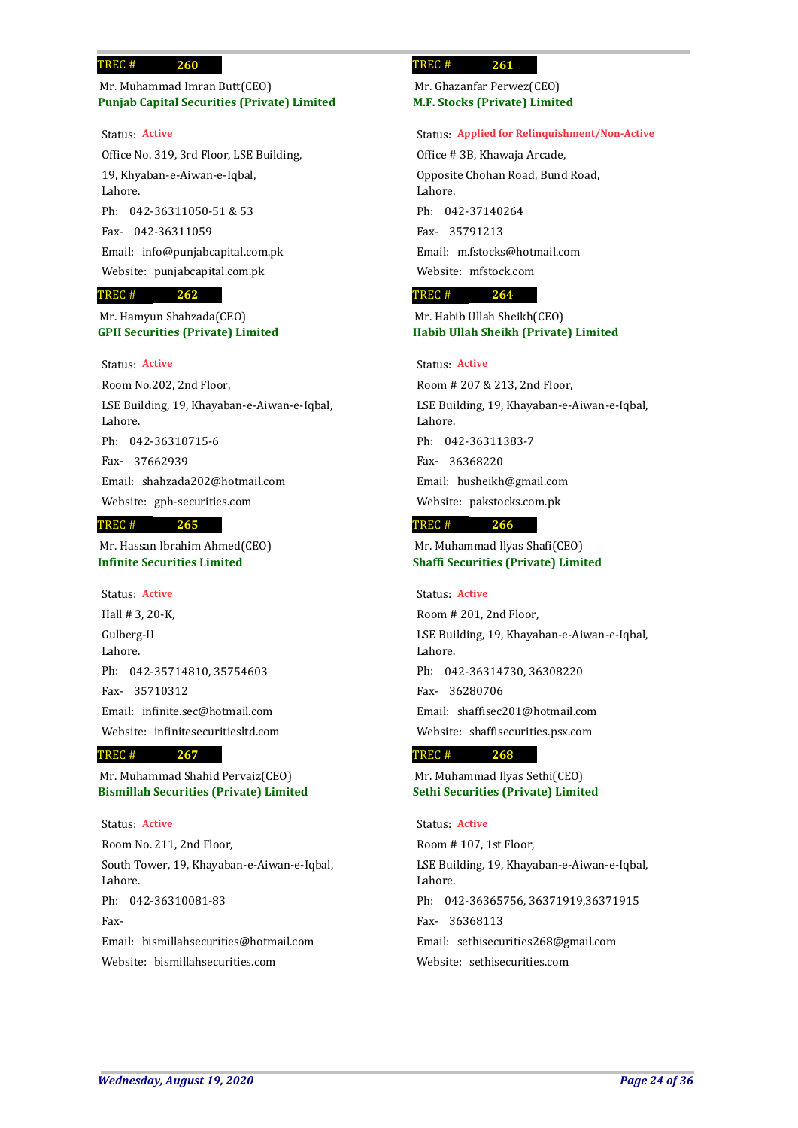## **Punjab Capital Securities (Private) Limited** Mr. Muhammad Imran Butt(CEO)

**260**

Office No. 319, 3rd Floor, LSE Building, 19, Khyaban-e-Aiwan-e-Iqbal, Lahore. Ph: 042-36311050-51 & 53 042-36311059 Fax-Email: info@punjabcapital.com.pk Website: punjabcapital.com.pk Status: **Active**

### **262** TREC #

## **GPH Securities (Private) Limited** Mr. Hamyun Shahzada(CEO)

### Status: **Active**

Room No.202, 2nd Floor, LSE Building, 19, Khayaban-e-Aiwan-e-Iqbal, Lahore. 042-36310715-6 Ph: 37662939 Fax-Email: shahzada202@hotmail.com Website: gph-securities.com

### **265** TREC #

**Infinite Securities Limited** Mr. Hassan Ibrahim Ahmed(CEO)

Hall # 3, 20-K, Gulberg-II Lahore. Ph: 042-35714810, 35754603 35710312 Fax-Email: infinite.sec@hotmail.com Website: infinitesecuritiesltd.com Status: **Active**

#### **267** TREC #

**Bismillah Securities (Private) Limited** Mr. Muhammad Shahid Pervaiz(CEO)

Status: **Active**

Room No. 211, 2nd Floor, South Tower, 19, Khayaban-e-Aiwan-e-Iqbal, Lahore. Ph: 042-36310081-83 Fax-Email: bismillahsecurities@hotmail.com Website: bismillahsecurities.com

### **261** TREC #

**M.F. Stocks (Private) Limited** Mr. Ghazanfar Perwez(CEO)

### Status: **Applied for Relinquishment/Non-Active**

Office # 3B, Khawaja Arcade, Opposite Chohan Road, Bund Road, Lahore. 042-37140264 Ph: 35791213 Fax-Email: m.fstocks@hotmail.com Website: mfstock.com

### **264** TREC #

## **Habib Ullah Sheikh (Private) Limited** Mr. Habib Ullah Sheikh(CEO)

## Status: **Active**

Room # 207 & 213, 2nd Floor, LSE Building, 19, Khayaban-e-Aiwan-e-Iqbal, Lahore. 042-36311383-7 Ph: 36368220 Fax-Email: husheikh@gmail.com Website: pakstocks.com.pk

#### **266** TREC #

**Shaffi Securities (Private) Limited** Mr. Muhammad Ilyas Shafi(CEO)

### Status: **Active**

Room # 201, 2nd Floor, LSE Building, 19, Khayaban-e-Aiwan-e-Iqbal, Lahore. Ph: 042-36314730, 36308220 36280706 Fax-Email: shaffisec201@hotmail.com Website: shaffisecurities.psx.com

#### **268** TREC #

**Sethi Securities (Private) Limited** Mr. Muhammad Ilyas Sethi(CEO)

## Status: **Active**

Room # 107, 1st Floor, LSE Building, 19, Khayaban-e-Aiwan-e-Iqbal, Lahore. Ph: 042-36365756, 36371919,36371915 36368113 Fax-Email: sethisecurities268@gmail.com Website: sethisecurities.com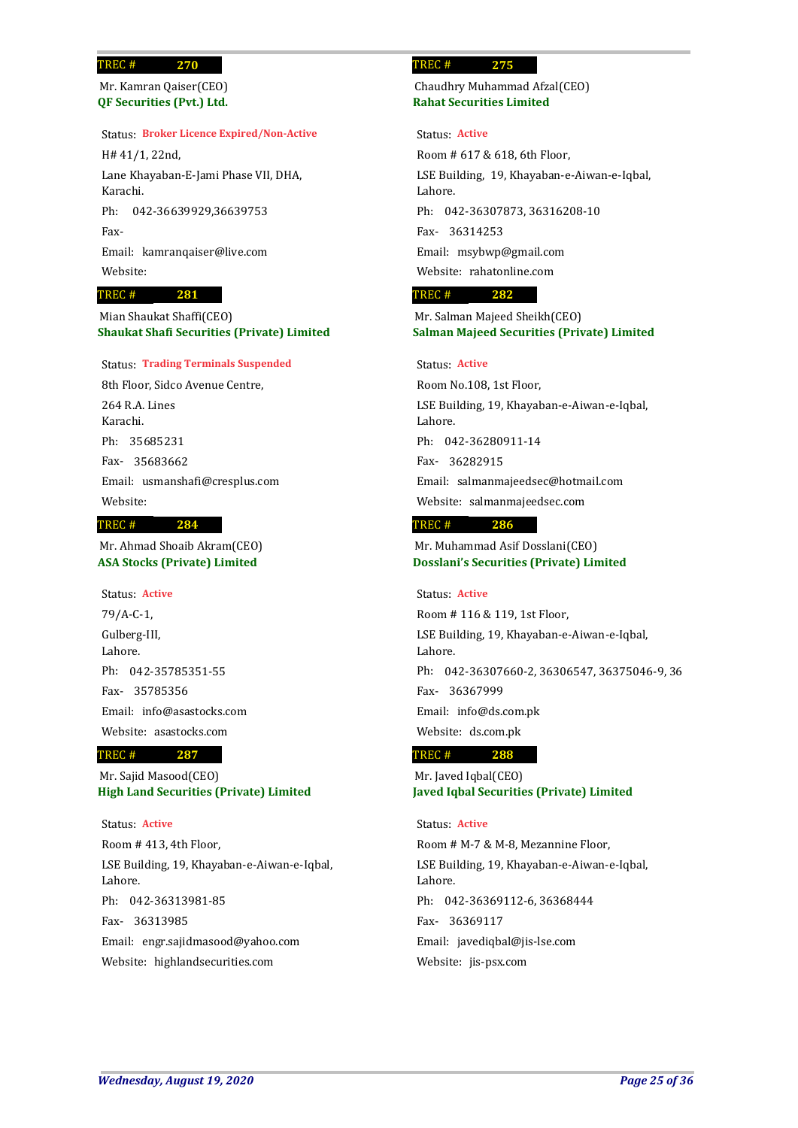**QF Securities (Pvt.) Ltd.** Mr. Kamran Qaiser(CEO)

### Status: **Broker Licence Expired/Non-Active**

H# 41/1, 22nd, Lane Khayaban-E-Jami Phase VII, DHA, Karachi. Ph: 042-36639929,36639753 Fax-Email: kamranqaiser@live.com Website:

### **281** TREC #

**Shaukat Shafi Securities (Private) Limited** Mian Shaukat Shaffi(CEO)

## Status: **Trading Terminals Suspended**

8th Floor, Sidco Avenue Centre, 264 R.A. Lines Karachi. 35685231 Ph: 35683662 Fax-Email: usmanshafi@cresplus.com Website: **284** TREC #

# Mr. Ahmad Shoaib Akram(CEO)

**ASA Stocks (Private) Limited**

79/A-C-1, Gulberg-III, Lahore. 042-35785351-55 Ph: 35785356 Fax-Email: info@asastocks.com Website: asastocks.com Status: **Active**

### **287** TREC #

**High Land Securities (Private) Limited** Mr. Sajid Masood(CEO)

Status: **Active**

Room # 413, 4th Floor, LSE Building, 19, Khayaban-e-Aiwan-e-Iqbal, Lahore. Ph: 042-36313981-85 36313985 Fax-Email: engr.sajidmasood@yahoo.com Website: highlandsecurities.com

### **275** TREC #

**Rahat Securities Limited** Chaudhry Muhammad Afzal(CEO)

### Status: **Active**

Room # 617 & 618, 6th Floor, LSE Building, 19, Khayaban-e-Aiwan-e-Iqbal, Lahore. Ph: 042-36307873, 36316208-10 36314253 Fax-Email: msybwp@gmail.com Website: rahatonline.com

### **282** TREC #

**Salman Majeed Securities (Private) Limited** Mr. Salman Majeed Sheikh(CEO)

## Status: **Active**

Room No.108, 1st Floor, LSE Building, 19, Khayaban-e-Aiwan-e-Iqbal, Lahore. Ph: 042-36280911-14 36282915 Fax-Email: salmanmajeedsec@hotmail.com Website: salmanmajeedsec.com

#### **286** TREC #

**Dosslani's Securities (Private) Limited** Mr. Muhammad Asif Dosslani(CEO)

### Status: **Active**

Room # 116 & 119, 1st Floor, LSE Building, 19, Khayaban-e-Aiwan-e-Iqbal, Lahore. Ph: 042-36307660-2, 36306547, 36375046-9, 36 36367999 Fax-Email: info@ds.com.pk Website: ds.com.pk

### **288** TREC #

**Javed Iqbal Securities (Private) Limited** Mr. Javed Iqbal(CEO)

### Status: **Active**

Room # M-7 & M-8, Mezannine Floor, LSE Building, 19, Khayaban-e-Aiwan-e-Iqbal, Lahore. Ph: 042-36369112-6, 36368444 36369117 Fax-Email: javediqbal@jis-lse.com Website: jis-psx.com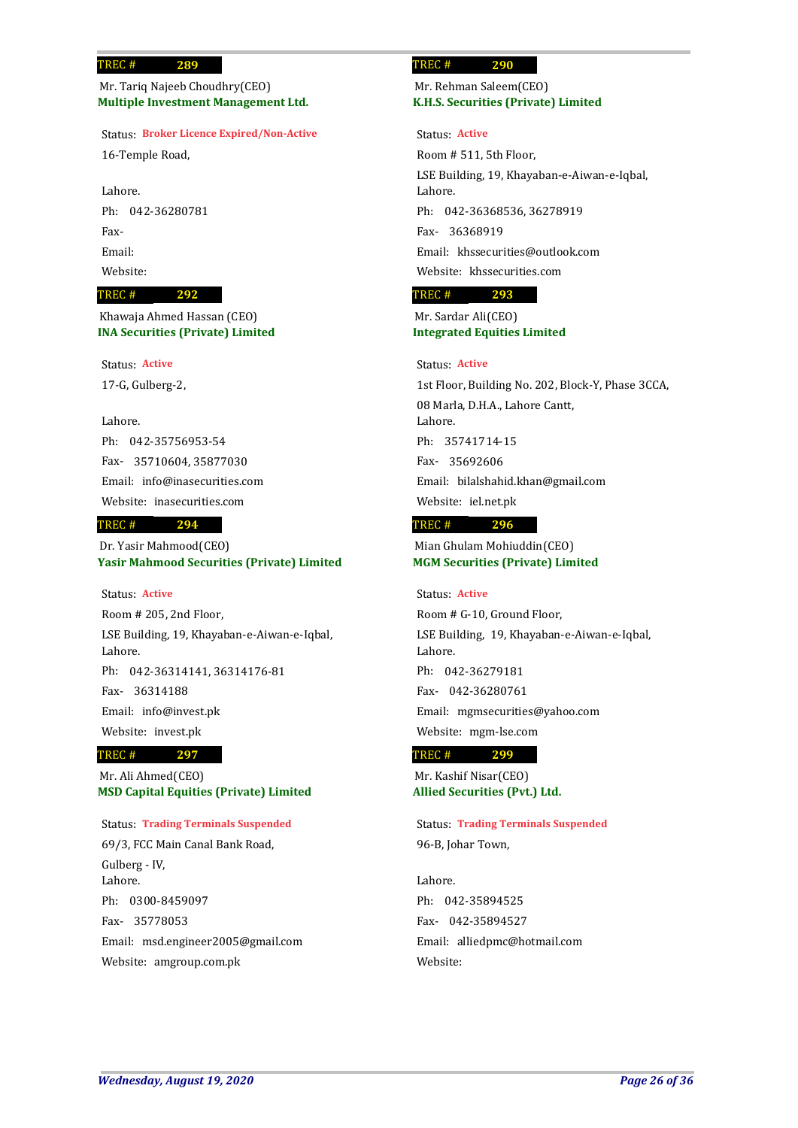## **Multiple Investment Management Ltd.** Mr. Tariq Najeeb Choudhry(CEO)

**289**

## Status: **Broker Licence Expired/Non-Active**

16-Temple Road,

Lahore. Ph: 042-36280781 Fax-Email: Website:

### **292** TREC #

**INA Securities (Private) Limited** Khawaja Ahmed Hassan (CEO)

Status: **Active**

17-G, Gulberg-2,

## Lahore.

042-35756953-54 Ph: 35710604, 35877030 Fax-Email: info@inasecurities.com Website: inasecurities.com

### **294** TREC #

**Yasir Mahmood Securities (Private) Limited** Dr. Yasir Mahmood(CEO)

Status: **Active**

Room # 205, 2nd Floor, LSE Building, 19, Khayaban-e-Aiwan-e-Iqbal, Lahore. Ph: 042-36314141, 36314176-81 36314188 Fax-Email: info@invest.pk Website: invest.pk

### **297** TREC #

**MSD Capital Equities (Private) Limited** Mr. Ali Ahmed(CEO)

## Status: **Trading Terminals Suspended**

69/3, FCC Main Canal Bank Road, Gulberg - IV, Lahore. Ph: 0300-8459097 35778053 Fax-Email: msd.engineer2005@gmail.com Website: amgroup.com.pk

### **290** TREC #

## **K.H.S. Securities (Private) Limited** Mr. Rehman Saleem(CEO)

### Status: **Active**

Room # 511, 5th Floor, LSE Building, 19, Khayaban-e-Aiwan-e-Iqbal, Lahore. Ph: 042-36368536, 36278919 36368919 Fax-Email: khssecurities@outlook.com Website: khssecurities.com

### **293** TREC #

## **Integrated Equities Limited** Mr. Sardar Ali(CEO)

## Status: **Active**

1st Floor, Building No. 202, Block-Y, Phase 3CCA, 08 Marla, D.H.A., Lahore Cantt, Lahore. 35741714-15 Ph: 35692606 Fax-Email: bilalshahid.khan@gmail.com Website: iel.net.pk

#### **296** TREC #

**MGM Securities (Private) Limited** Mian Ghulam Mohiuddin(CEO)

### Status: **Active**

Room # G-10, Ground Floor, LSE Building, 19, Khayaban-e-Aiwan-e-Iqbal, Lahore. Ph: 042-36279181 042-36280761 Fax-Email: mgmsecurities@yahoo.com Website: mgm-lse.com

#### **299** TREC #

**Allied Securities (Pvt.) Ltd.** Mr. Kashif Nisar(CEO)

96-B, Johar Town, Status: **Trading Terminals Suspended**

Lahore. 042-35894525 Ph: 042-35894527 Fax-Email: alliedpmc@hotmail.com Website: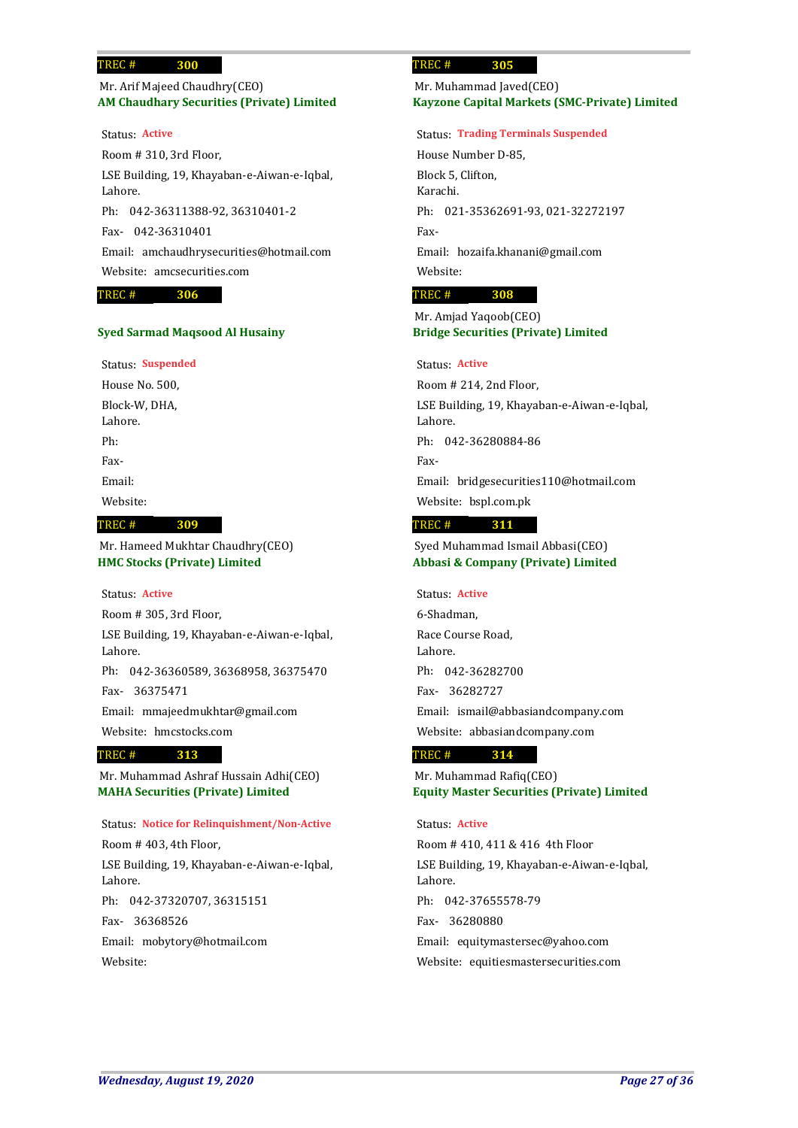## **AM Chaudhary Securities (Private) Limited** Mr. Arif Majeed Chaudhry(CEO)

Room # 310, 3rd Floor, LSE Building, 19, Khayaban-e-Aiwan-e-Iqbal, Lahore. Ph: 042-36311388-92, 36310401-2 042-36310401 Fax-Email: amchaudhrysecurities@hotmail.com Website: amcsecurities.com Status: **Active**

### **306** TREC #

## **Syed Sarmad Maqsood Al Husainy**

### Status: **Suspended**

House No. 500, Block-W, DHA, Lahore. Ph: Fax-Email: Website:

#### **309** TREC #

**HMC Stocks (Private) Limited** Mr. Hameed Mukhtar Chaudhry(CEO)

### Status: **Active**

Room # 305, 3rd Floor, LSE Building, 19, Khayaban-e-Aiwan-e-Iqbal, Lahore. Ph: 042-36360589, 36368958, 36375470 36375471 Fax-Email: mmajeedmukhtar@gmail.com Website: hmcstocks.com

#### **313** TREC #

**MAHA Securities (Private) Limited** Mr. Muhammad Ashraf Hussain Adhi(CEO)

## Status: **Notice for Relinquishment/Non-Active**

Room # 403, 4th Floor, LSE Building, 19, Khayaban-e-Aiwan-e-Iqbal, Lahore. Ph: 042-37320707, 36315151 36368526 Fax-Email: mobytory@hotmail.com Website:

### **305** TREC #

## **Kayzone Capital Markets (SMC-Private) Limited** Mr. Muhammad Javed(CEO)

### Status: **Trading Terminals Suspended**

House Number D-85, Block 5, Clifton, Karachi. Ph: 021-35362691-93, 021-32272197 Fax-Email: hozaifa.khanani@gmail.com Website:

#### **308** TREC #

## **Bridge Securities (Private) Limited** Mr. Amjad Yaqoob(CEO)

## Status: **Active**

Room # 214, 2nd Floor, LSE Building, 19, Khayaban-e-Aiwan-e-Iqbal, Lahore. Ph: 042-36280884-86 Fax-Email: bridgesecurities110@hotmail.com Website: bspl.com.pk

#### **311** TREC #

**Abbasi & Company (Private) Limited** Syed Muhammad Ismail Abbasi(CEO)

Status: **Active**

6-Shadman, Race Course Road, Lahore. Ph: 042-36282700 36282727 Fax-Email: ismail@abbasiandcompany.com Website: abbasiandcompany.com

#### **314** TREC #

**Equity Master Securities (Private) Limited** Mr. Muhammad Rafiq(CEO)

### Status: **Active**

Room # 410, 411 & 416 4th Floor LSE Building, 19, Khayaban-e-Aiwan-e-Iqbal, Lahore. 042-37655578-79 Ph: 36280880 Fax-Email: equitymastersec@yahoo.com Website: equitiesmastersecurities.com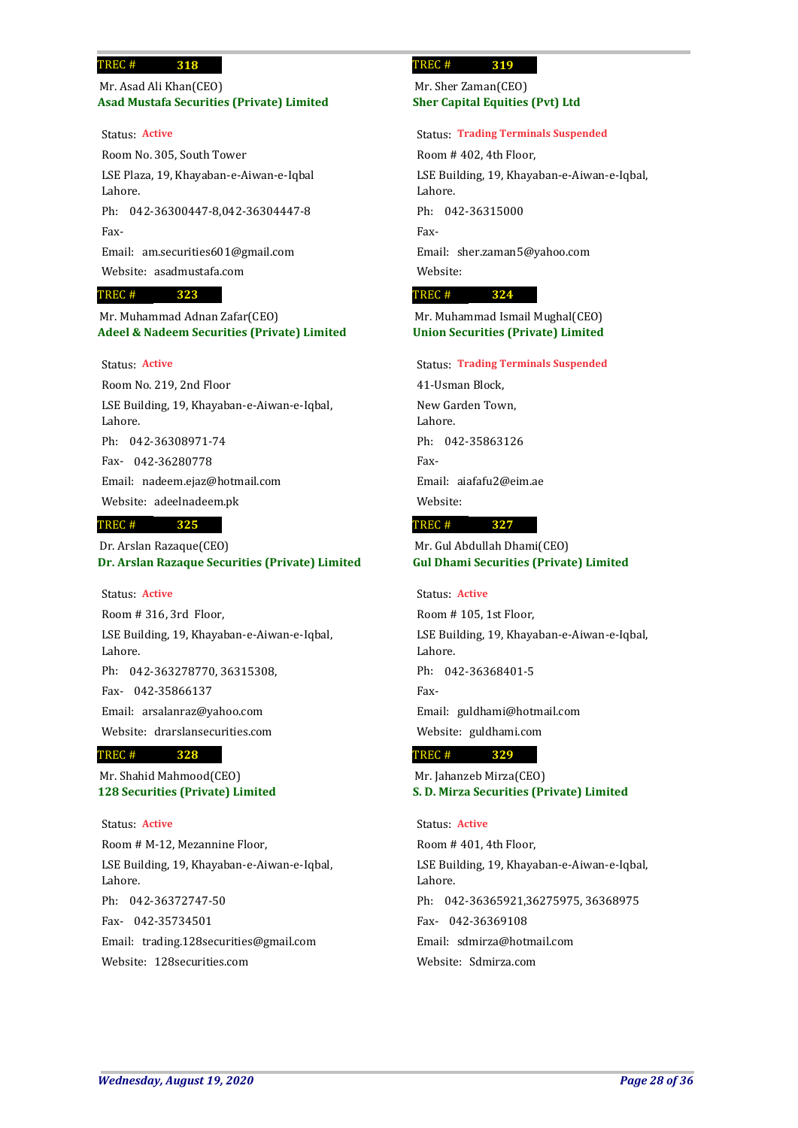## **Asad Mustafa Securities (Private) Limited** Mr. Asad Ali Khan(CEO)

### Status: **Active**

Room No. 305, South Tower LSE Plaza, 19, Khayaban-e-Aiwan-e-Iqbal Lahore. Ph: 042-36300447-8,042-36304447-8 Fax-Email: am.securities601@gmail.com Website: asadmustafa.com

### **323** TREC #

**Adeel & Nadeem Securities (Private) Limited** Mr. Muhammad Adnan Zafar(CEO)

## Status: **Active**

Room No. 219, 2nd Floor LSE Building, 19, Khayaban-e-Aiwan-e-Iqbal, Lahore. 042-36308971-74 Ph: 042-36280778 Fax-Email: nadeem.ejaz@hotmail.com Website: adeelnadeem.pk

### **325** TREC #

**Dr. Arslan Razaque Securities (Private) Limited** Dr. Arslan Razaque(CEO)

### Status: **Active**

Room # 316, 3rd Floor, LSE Building, 19, Khayaban-e-Aiwan-e-Iqbal, Lahore. Ph: 042-363278770, 36315308, 042-35866137 Fax-Email: arsalanraz@yahoo.com Website: drarslansecurities.com

### **328** TREC #

**128 Securities (Private) Limited** Mr. Shahid Mahmood(CEO)

Room # M-12, Mezannine Floor, LSE Building, 19, Khayaban-e-Aiwan-e-Iqbal, Lahore. 042-36372747-50 Ph: 042-35734501 Fax-Email: trading.128securities@gmail.com Website: 128securities.com Status: **Active**

### **319** TREC #

**Sher Capital Equities (Pvt) Ltd** Mr. Sher Zaman(CEO)

## Status: **Trading Terminals Suspended**

Room # 402, 4th Floor, LSE Building, 19, Khayaban-e-Aiwan-e-Iqbal, Lahore. Ph: 042-36315000 Fax-Email: sher.zaman5@yahoo.com Website:

### **324** TREC #

**Union Securities (Private) Limited** Mr. Muhammad Ismail Mughal(CEO)

### Status: **Trading Terminals Suspended**

41-Usman Block, New Garden Town, Lahore. Ph: 042-35863126 Fax-Email: aiafafu2@eim.ae Website:

### **327** TREC #

**Gul Dhami Securities (Private) Limited** Mr. Gul Abdullah Dhami(CEO)

### Status: **Active**

Room # 105, 1st Floor, LSE Building, 19, Khayaban-e-Aiwan-e-Iqbal, Lahore. Ph: 042-36368401-5 Fax-Email: guldhami@hotmail.com Website: guldhami.com

### **329** TREC #

**S. D. Mirza Securities (Private) Limited** Mr. Jahanzeb Mirza(CEO)

## Status: **Active**

Room # 401, 4th Floor, LSE Building, 19, Khayaban-e-Aiwan-e-Iqbal, Lahore. Ph: 042-36365921,36275975, 36368975 042-36369108 Fax-Email: sdmirza@hotmail.com Website: Sdmirza.com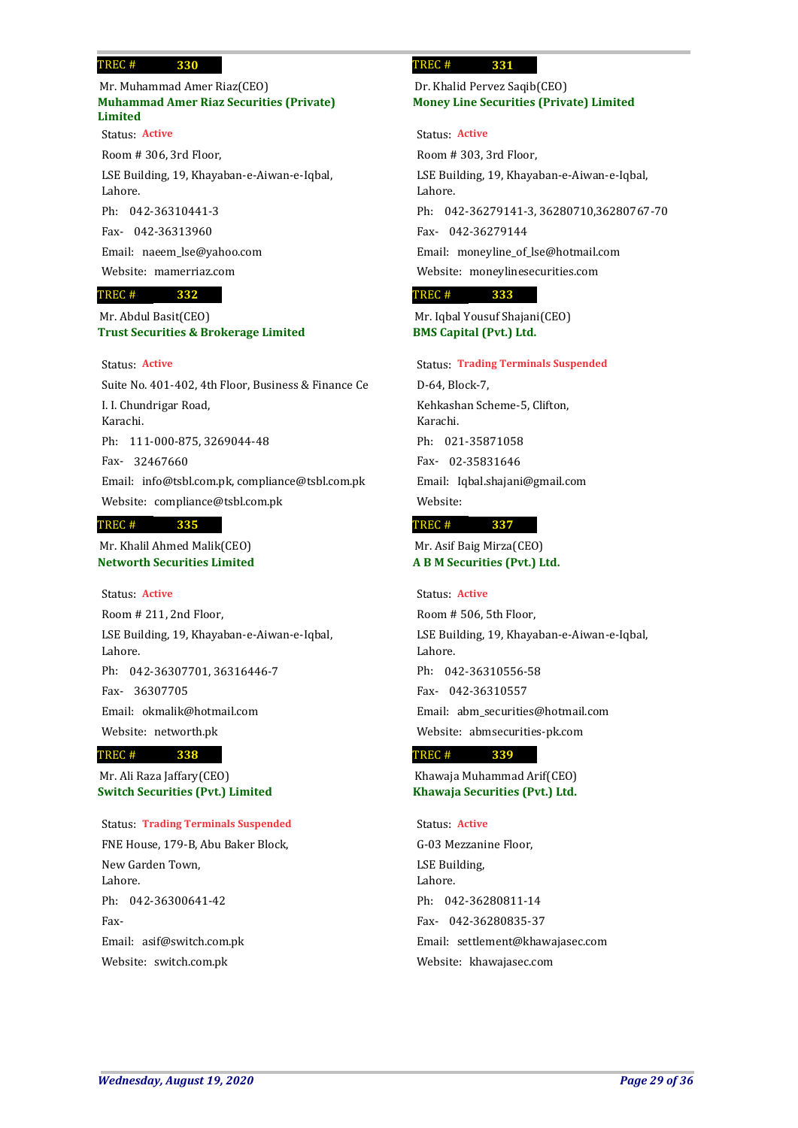## **Muhammad Amer Riaz Securities (Private) Limited** Mr. Muhammad Amer Riaz(CEO)

Room # 306, 3rd Floor, LSE Building, 19, Khayaban-e-Aiwan-e-Iqbal, Lahore. Ph: 042-36310441-3 Status: **Active**

042-36313960 Fax-

Email: naeem\_lse@yahoo.com

Website: mamerriaz.com

### **332** TREC #

**Trust Securities & Brokerage Limited** Mr. Abdul Basit(CEO)

## Status: **Active**

Suite No. 401-402, 4th Floor, Business & Finance Ce I. I. Chundrigar Road, Karachi. Ph: 111-000-875, 3269044-48 32467660 Fax-Email: info@tsbl.com.pk, compliance@tsbl.com.pk Website: compliance@tsbl.com.pk **335** TREC #

## **Networth Securities Limited** Mr. Khalil Ahmed Malik(CEO)

Status: **Active**

Room # 211, 2nd Floor, LSE Building, 19, Khayaban-e-Aiwan-e-Iqbal, Lahore. Ph: 042-36307701, 36316446-7 36307705 Fax-Email: okmalik@hotmail.com Website: networth.pk

#### **338** TREC #

**Switch Securities (Pvt.) Limited** Mr. Ali Raza Jaffary(CEO)

## Status: **Trading Terminals Suspended**

FNE House, 179-B, Abu Baker Block, New Garden Town, Lahore. Ph: 042-36300641-42 Fax-Email: asif@switch.com.pk Website: switch.com.pk

### **331** TREC #

**Money Line Securities (Private) Limited** Dr. Khalid Pervez Saqib(CEO)

Status: **Active**

Room # 303, 3rd Floor, LSE Building, 19, Khayaban-e-Aiwan-e-Iqbal, Lahore. Ph: 042-36279141-3, 36280710,36280767-70 042-36279144 Fax-Email: moneyline\_of\_lse@hotmail.com Website: moneylinesecurities.com

### **333** TREC #

**BMS Capital (Pvt.) Ltd.** Mr. Iqbal Yousuf Shajani(CEO)

### Status: **Trading Terminals Suspended**

D-64, Block-7, Kehkashan Scheme-5, Clifton, Karachi. 021-35871058 Ph: 02-35831646 Fax-Email: Iqbal.shajani@gmail.com Website:

### **337** TREC #

**A B M Securities (Pvt.) Ltd.** Mr. Asif Baig Mirza(CEO)

### Status: **Active**

Room # 506, 5th Floor, LSE Building, 19, Khayaban-e-Aiwan-e-Iqbal, Lahore. Ph: 042-36310556-58 042-36310557 Fax-Email: abm\_securities@hotmail.com Website: abmsecurities-pk.com

#### **339** TREC #

**Khawaja Securities (Pvt.) Ltd.** Khawaja Muhammad Arif(CEO)

## Status: **Active**

G-03 Mezzanine Floor, LSE Building, Lahore. Ph: 042-36280811-14 042-36280835-37 Fax-Email: settlement@khawajasec.com Website: khawajasec.com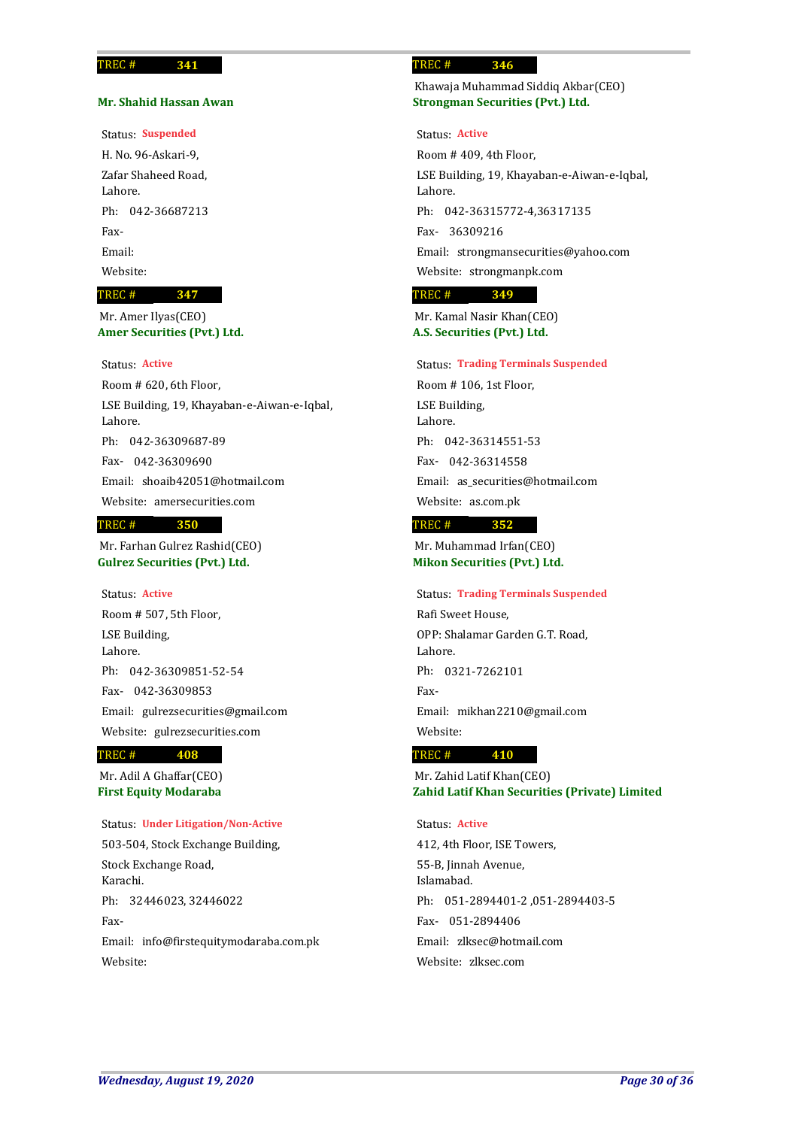### **Mr. Shahid Hassan Awan**

**341**

Status: **Suspended**

H. No. 96-Askari-9, Zafar Shaheed Road, Lahore. Ph: 042-36687213 Fax-Email: Website:

### **347** TREC #

**Amer Securities (Pvt.) Ltd.** Mr. Amer Ilyas(CEO)

## Status: **Active**

Room # 620, 6th Floor, LSE Building, 19, Khayaban-e-Aiwan-e-Iqbal, Lahore. Ph: 042-36309687-89 042-36309690 Fax-Email: shoaib42051@hotmail.com Website: amersecurities.com

### **350** TREC #

**Gulrez Securities (Pvt.) Ltd.** Mr. Farhan Gulrez Rashid(CEO)

Room # 507, 5th Floor, LSE Building, Lahore. Ph: 042-36309851-52-54 042-36309853 Fax-Email: gulrezsecurities@gmail.com Website: gulrezsecurities.com Status: **Active**

#### **408** TREC #

**First Equity Modaraba** Mr. Adil A Ghaffar(CEO)

Status: **Under Litigation/Non-Active**

503-504, Stock Exchange Building, Stock Exchange Road, Karachi. Ph: 32446023, 32446022 Fax-Email: info@firstequitymodaraba.com.pk Website:

### **346** TREC #

**Strongman Securities (Pvt.) Ltd.** Khawaja Muhammad Siddiq Akbar(CEO)

Status: **Active**

Room # 409, 4th Floor, LSE Building, 19, Khayaban-e-Aiwan-e-Iqbal, Lahore. Ph: 042-36315772-4,36317135 36309216 Fax-Email: strongmansecurities@yahoo.com Website: strongmanpk.com

### **349** TREC #

**A.S. Securities (Pvt.) Ltd.** Mr. Kamal Nasir Khan(CEO)

### Status: **Trading Terminals Suspended**

Room # 106, 1st Floor, LSE Building, Lahore. 042-36314551-53 Ph: 042-36314558 Fax-Email: as\_securities@hotmail.com Website: as.com.pk

#### **352** TREC #

**Mikon Securities (Pvt.) Ltd.** Mr. Muhammad Irfan(CEO)

Rafi Sweet House, OPP: Shalamar Garden G.T. Road, Status: **Trading Terminals Suspended**

Lahore. Ph: 0321-7262101 Fax-Email: mikhan2210@gmail.com Website:

#### **410** TREC #

**Zahid Latif Khan Securities (Private) Limited** Mr. Zahid Latif Khan(CEO)

## Status: **Active**

412, 4th Floor, ISE Towers, 55-B, Jinnah Avenue, Islamabad. 051-2894401-2 ,051-2894403-5 Ph: 051-2894406 Fax-Email: zlksec@hotmail.com Website: zlksec.com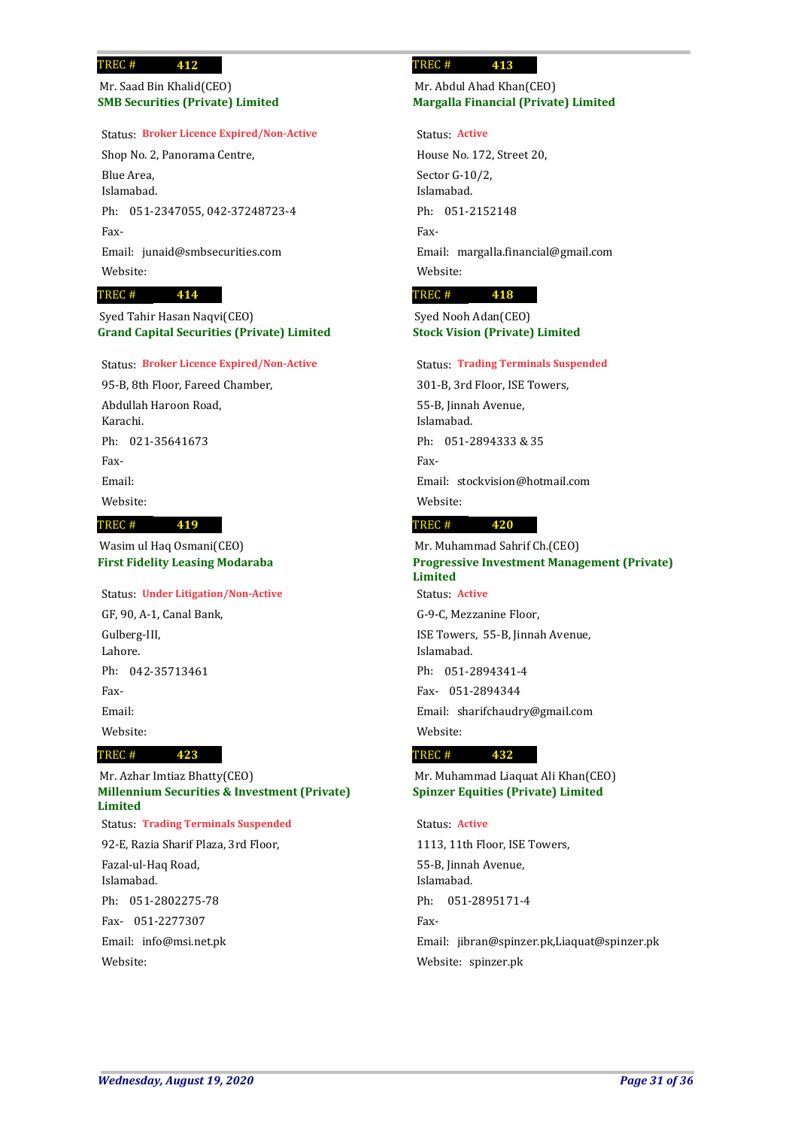## **SMB Securities (Private) Limited** Mr. Saad Bin Khalid(CEO)

## Status: **Broker Licence Expired/Non-Active**

Shop No. 2, Panorama Centre, Blue Area, Islamabad. Ph: 051-2347055, 042-37248723-4 Fax-Email: junaid@smbsecurities.com Website:

### **414** TREC #

**Grand Capital Securities (Private) Limited** Syed Tahir Hasan Naqvi(CEO)

### Status: **Broker Licence Expired/Non-Active**

95-B, 8th Floor, Fareed Chamber, Abdullah Haroon Road, Karachi. Ph: 021-35641673 Fax-Email: Website:

### **419** TREC #

**First Fidelity Leasing Modaraba** Wasim ul Haq Osmani(CEO)

## Status: **Under Litigation/Non-Active**

**423**

GF, 90, A-1, Canal Bank, Gulberg-III, Lahore. Ph: 042-35713461 Fax-Email: Website:

### TREC #

**Millennium Securities & Investment (Private) Limited** 92-E, Razia Sharif Plaza, 3rd Floor, Fazal-ul-Haq Road, Islamabad. 051-2802275-78 Ph: 051-2277307 Fax-Mr. Azhar Imtiaz Bhatty(CEO) Status: **Trading Terminals Suspended**

Email: info@msi.net.pk Website:

### **413** TREC #

## **Margalla Financial (Private) Limited** Mr. Abdul Ahad Khan(CEO)

Status: **Active**

House No. 172, Street 20, Sector G-10/2, Islamabad. Ph: 051-2152148 Fax-Email: margalla.financial@gmail.com Website:

#### **418** TREC #

**Stock Vision (Private) Limited** Syed Nooh Adan(CEO)

### Status: **Trading Terminals Suspended**

301-B, 3rd Floor, ISE Towers, 55-B, Jinnah Avenue, Islamabad. Ph: 051-2894333 & 35 Fax-Email: stockvision@hotmail.com Website:

### **420** TREC #

**Progressive Investment Management (Private) Limited** G-9-C, Mezzanine Floor, ISE Towers, 55-B, Jinnah Avenue, Mr. Muhammad Sahrif Ch.(CEO) Status: **Active**

Islamabad. Ph: 051-2894341-4 051-2894344 Fax-Email: sharifchaudry@gmail.com Website:

### **432** TREC #

**Spinzer Equities (Private) Limited** Mr. Muhammad Liaquat Ali Khan(CEO)

## Status: **Active**

1113, 11th Floor, ISE Towers, 55-B, Jinnah Avenue, Islamabad. Ph: 051-2895171-4 Fax-Email: jibran@spinzer.pk,Liaquat@spinzer.pk Website: spinzer.pk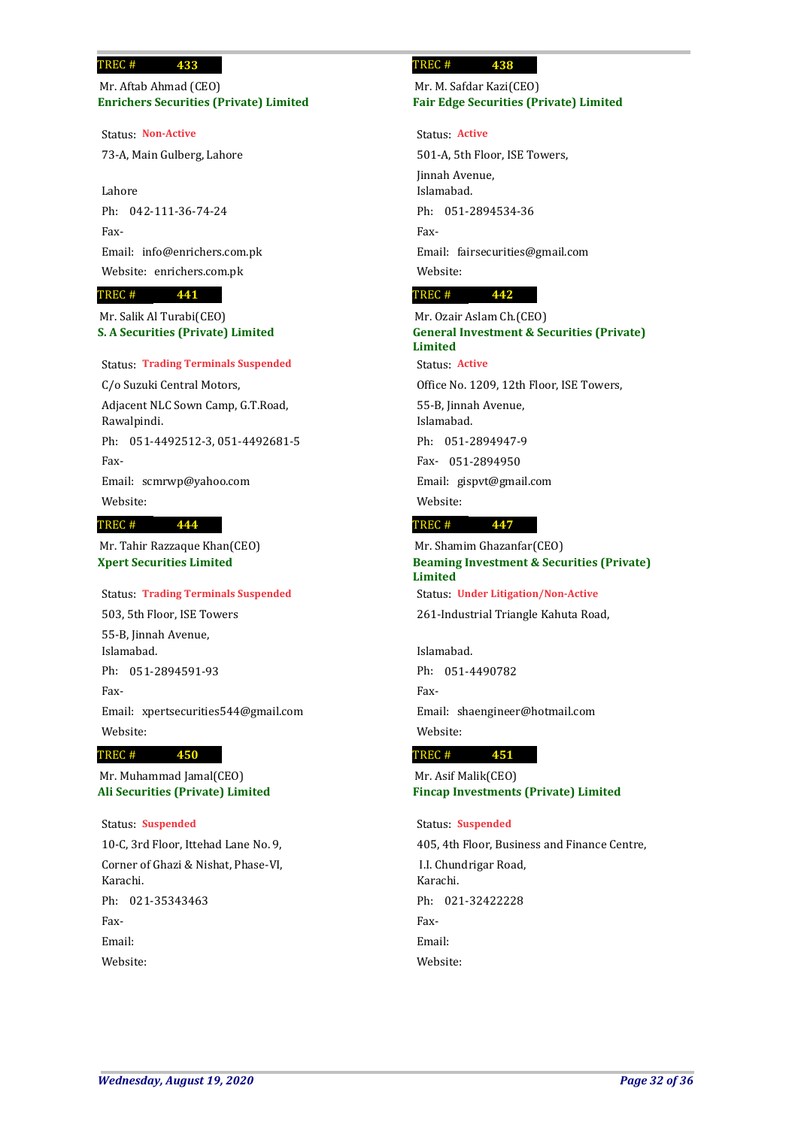**Enrichers Securities (Private) Limited** Mr. Aftab Ahmad (CEO)

73-A, Main Gulberg, Lahore Status: **Non-Active**

Lahore Ph: 042-111-36-74-24 Fax-Email: info@enrichers.com.pk Website: enrichers.com.pk

### **441** TREC #

**S. A Securities (Private) Limited** Mr. Salik Al Turabi(CEO)

## Status: **Trading Terminals Suspended**

C/o Suzuki Central Motors, Adjacent NLC Sown Camp, G.T.Road, Rawalpindi.

Ph: 051-4492512-3, 051-4492681-5 Fax-

Email: scmrwp@yahoo.com

Website:

#### **444** TREC #

**Xpert Securities Limited** Mr. Tahir Razzaque Khan(CEO)

## Status: **Trading Terminals Suspended**

503, 5th Floor, ISE Towers 55-B, Jinnah Avenue, Islamabad. Ph: 051-2894591-93 Fax-Email: xpertsecurities544@gmail.com Website:

#### **450** TREC #

**Ali Securities (Private) Limited** Mr. Muhammad Jamal(CEO)

## Status: **Suspended**

10-C, 3rd Floor, Ittehad Lane No. 9, Corner of Ghazi & Nishat, Phase-VI, Karachi. Ph: 021-35343463 Fax-Email: Website:

### **438** TREC #

## **Fair Edge Securities (Private) Limited** Mr. M. Safdar Kazi(CEO)

Status: **Active**

501-A, 5th Floor, ISE Towers, Jinnah Avenue, Islamabad. Ph: 051-2894534-36 Fax-Email: fairsecurities@gmail.com Website:

### **442** TREC #

**General Investment & Securities (Private) Limited** Mr. Ozair Aslam Ch.(CEO)

Status: **Active**

Office No. 1209, 12th Floor, ISE Towers,

55-B, Jinnah Avenue, Islamabad.

051-2894947-9 Ph:

051-2894950 Fax-

Email: gispvt@gmail.com

Website:

### **447** TREC #

**Beaming Investment & Securities (Private) Limited** Mr. Shamim Ghazanfar(CEO) Status: **Under Litigation/Non-Active**

261-Industrial Triangle Kahuta Road,

Islamabad.

Ph: 051-4490782 Fax-Email: shaengineer@hotmail.com Website:

### **451** TREC #

**Fincap Investments (Private) Limited** Mr. Asif Malik(CEO)

## Status: **Suspended**

405, 4th Floor, Business and Finance Centre, I.I. Chundrigar Road, Karachi. Ph: 021-32422228 Fax-Email: Website: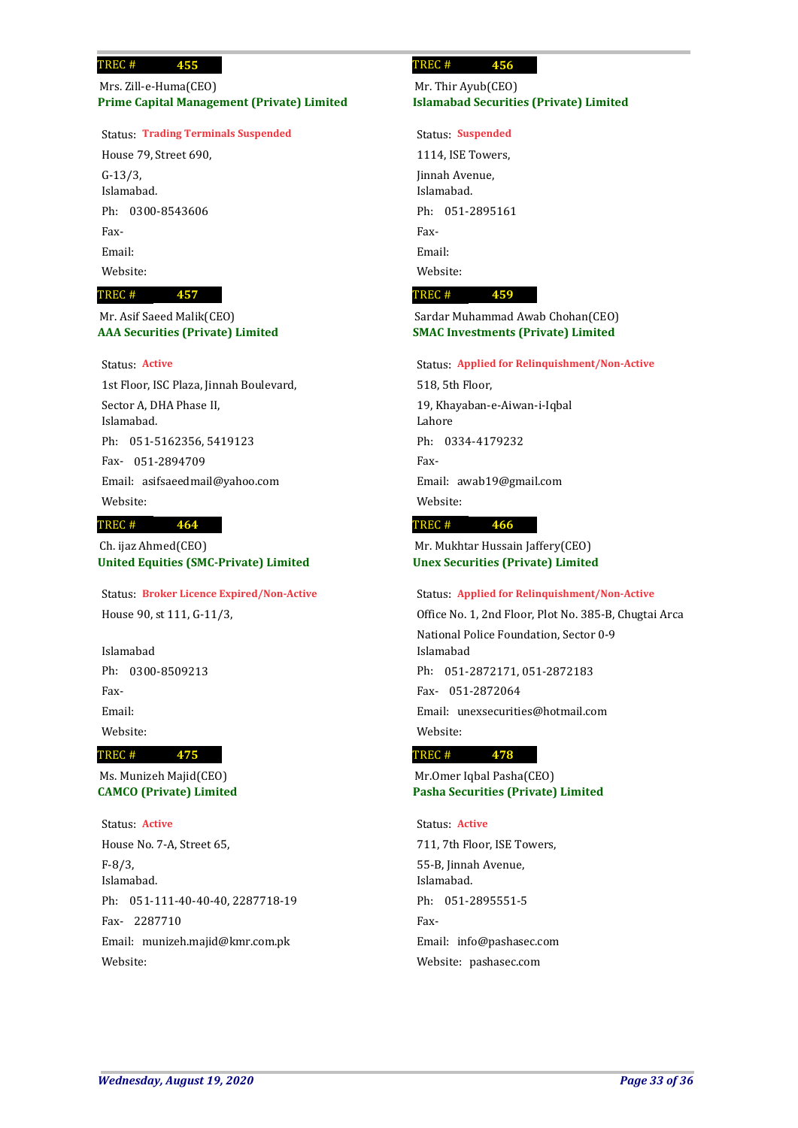**Prime Capital Management (Private) Limited** Mrs. Zill-e-Huma(CEO)

## Status: **Trading Terminals Suspended**

House 79, Street 690, G-13/3, Islamabad. Ph: 0300-8543606 Fax-Email: Website:

### **457** TREC #

## **AAA Securities (Private) Limited** Mr. Asif Saeed Malik(CEO)

## Status: **Active**

1st Floor, ISC Plaza, Jinnah Boulevard, Sector A, DHA Phase II, Islamabad. 051-5162356, 5419123 Ph: 051-2894709 Fax-Email: asifsaeedmail@yahoo.com Website:

### **464** TREC #

**United Equities (SMC-Private) Limited** Ch. ijaz Ahmed(CEO)

House 90, st 111, G-11/3, Status: **Broker Licence Expired/Non-Active**

Islamabad Ph: 0300-8509213 Fax-Email: Website:

### TREC #

**CAMCO (Private) Limited** Ms. Munizeh Majid(CEO)

**475**

House No. 7-A, Street 65, F-8/3, Islamabad. Ph: 051-111-40-40-40, 2287718-19 2287710 Fax-Email: munizeh.majid@kmr.com.pk Website: Status: **Active**

### **456** TREC #

## **Islamabad Securities (Private) Limited** Mr. Thir Ayub(CEO)

Status: **Suspended**

1114, ISE Towers, Jinnah Avenue, Islamabad. Ph: 051-2895161 Fax-Email: Website:

### **459** TREC #

## **SMAC Investments (Private) Limited** Sardar Muhammad Awab Chohan(CEO)

### Status: **Applied for Relinquishment/Non-Active**

518, 5th Floor, 19, Khayaban-e-Aiwan-i-Iqbal Lahore Ph: 0334-4179232 Fax-Email: awab19@gmail.com

Website:

### **466** TREC #

**Unex Securities (Private) Limited** Mr. Mukhtar Hussain Jaffery(CEO)

## Status: **Applied for Relinquishment/Non-Active**

Office No. 1, 2nd Floor, Plot No. 385-B, Chugtai Arca National Police Foundation, Sector 0-9 Islamabad 051-2872171, 051-2872183 Ph: 051-2872064 Fax-Email: unexsecurities@hotmail.com Website:

### **478** TREC #

**Pasha Securities (Private) Limited** Mr.Omer Iqbal Pasha(CEO)

## Status: **Active**

711, 7th Floor, ISE Towers, 55-B, Jinnah Avenue, Islamabad. Ph: 051-2895551-5 Fax-Email: info@pashasec.com Website: pashasec.com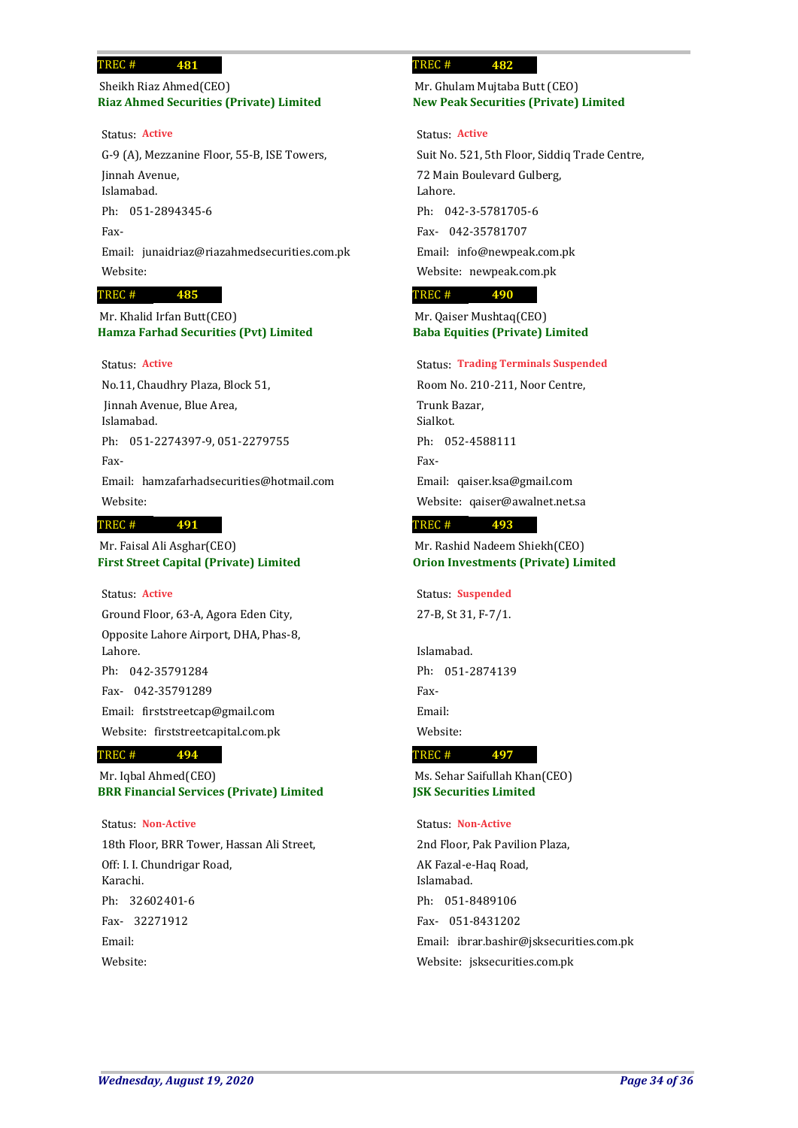**Riaz Ahmed Securities (Private) Limited** Sheikh Riaz Ahmed(CEO)

G-9 (A), Mezzanine Floor, 55-B, ISE Towers, Jinnah Avenue, Islamabad. Ph: 051-2894345-6 Fax-Email: junaidriaz@riazahmedsecurities.com.pk Website: Status: **Active**

### **485** TREC #

**Hamza Farhad Securities (Pvt) Limited** Mr. Khalid Irfan Butt(CEO)

## Status: **Active**

No.11, Chaudhry Plaza, Block 51, Jinnah Avenue, Blue Area, Islamabad. Ph: 051-2274397-9, 051-2279755 Fax-Email: hamzafarhadsecurities@hotmail.com Website: **491** TREC #

# Mr. Faisal Ali Asghar(CEO)

**First Street Capital (Private) Limited**

## Status: **Active**

Ground Floor, 63-A, Agora Eden City, Opposite Lahore Airport, DHA, Phas-8, Lahore. Ph: 042-35791284 042-35791289 Fax-Email: firststreetcap@gmail.com Website: firststreetcapital.com.pk

### **494** TREC #

**BRR Financial Services (Private) Limited** Mr. Iqbal Ahmed(CEO)

18th Floor, BRR Tower, Hassan Ali Street, Off: I. I. Chundrigar Road, Karachi. 32602401-6 Ph: 32271912 Fax-Email: Website: Status: **Non-Active**

### **482** TREC #

## **New Peak Securities (Private) Limited** Mr. Ghulam Mujtaba Butt (CEO)

Suit No. 521, 5th Floor, Siddiq Trade Centre, 72 Main Boulevard Gulberg, Lahore. 042-3-5781705-6 Ph: 042-35781707 Fax-Email: info@newpeak.com.pk Website: newpeak.com.pk Status: **Active**

#### **490** TREC #

**Baba Equities (Private) Limited** Mr. Qaiser Mushtaq(CEO)

### Status: **Trading Terminals Suspended**

Room No. 210-211, Noor Centre, Trunk Bazar, Sialkot. Ph: 052-4588111 Fax-Email: qaiser.ksa@gmail.com Website: qaiser@awalnet.net.sa

### **493** TREC #

**Orion Investments (Private) Limited** Mr. Rashid Nadeem Shiekh(CEO)

27-B, St 31, F-7/1. Status: **Suspended**

Islamabad. Ph: 051-2874139 Fax-Email: Website:

#### **497** TREC #

**JSK Securities Limited** Ms. Sehar Saifullah Khan(CEO)

## Status: **Non-Active**

2nd Floor, Pak Pavilion Plaza, AK Fazal-e-Haq Road, Islamabad. 051-8489106 Ph: 051-8431202 Fax-Email: ibrar.bashir@jsksecurities.com.pk Website: jsksecurities.com.pk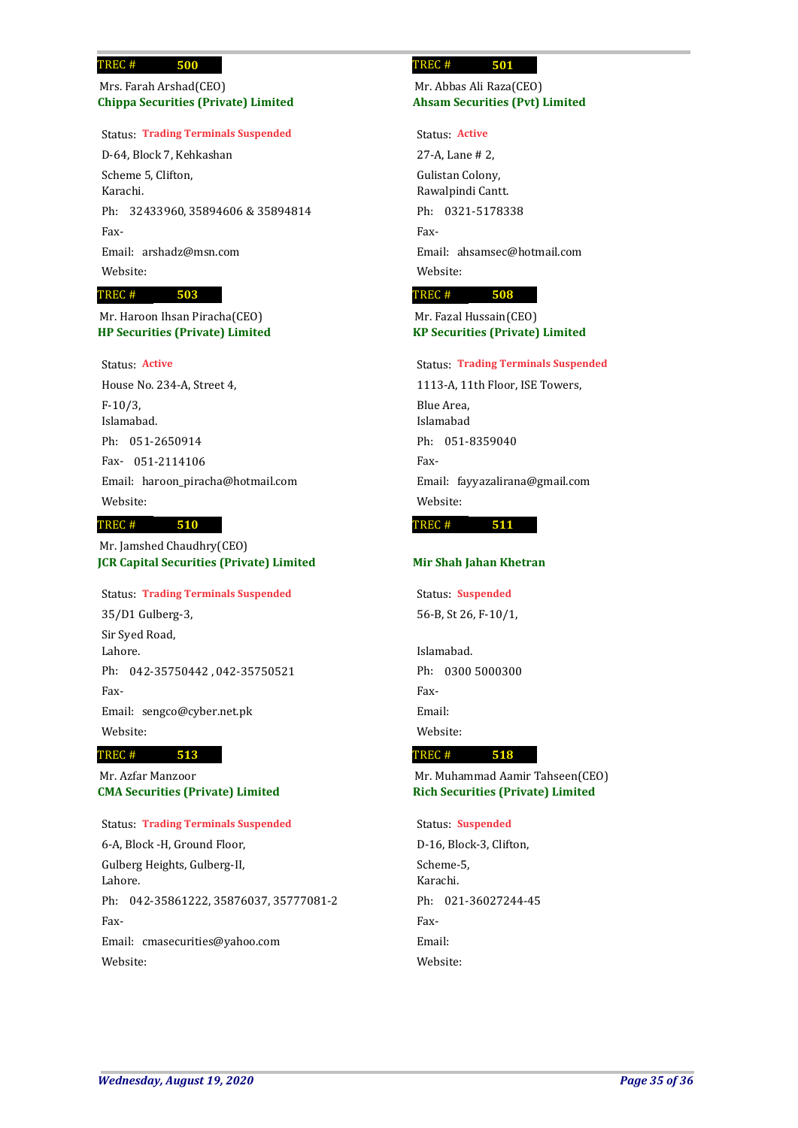## **Chippa Securities (Private) Limited** Mrs. Farah Arshad(CEO)

### Status: **Trading Terminals Suspended**

D-64, Block 7, Kehkashan Scheme 5, Clifton, Karachi. Ph: 32433960, 35894606 & 35894814 Fax-Email: arshadz@msn.com Website:

### **503** TREC #

**HP Securities (Private) Limited** Mr. Haroon Ihsan Piracha(CEO)

### Status: **Active**

House No. 234-A, Street 4, F-10/3, Islamabad. Ph: 051-2650914 051-2114106 Fax-Email: haroon\_piracha@hotmail.com Website:

### **510** TREC #

**JCR Capital Securities (Private) Limited** Mr. Jamshed Chaudhry(CEO)

# Status: **Trading Terminals Suspended**

35/D1 Gulberg-3, Sir Syed Road, Lahore. Ph: 042-35750442 , 042-35750521 Fax-Email: sengco@cyber.net.pk Website:

### **513** TREC #

**CMA Securities (Private) Limited** Mr. Azfar Manzoor

## Status: **Trading Terminals Suspended**

6-A, Block -H, Ground Floor, Gulberg Heights, Gulberg-II, Lahore. Ph: 042-35861222, 35876037, 35777081-2 Fax-Email: cmasecurities@yahoo.com Website:

### **501** TREC #

## **Ahsam Securities (Pvt) Limited** Mr. Abbas Ali Raza(CEO)

Status: **Active**

27-A, Lane # 2, Gulistan Colony, Rawalpindi Cantt. Ph: 0321-5178338 Fax-Email: ahsamsec@hotmail.com Website:

### **508** TREC #

**KP Securities (Private) Limited** Mr. Fazal Hussain(CEO)

### Status: **Trading Terminals Suspended**

1113-A, 11th Floor, ISE Towers, Blue Area, Islamabad Ph: 051-8359040 Fax-Email: fayyazalirana@gmail.com Website: **511** TREC #

## **Mir Shah Jahan Khetran**

56-B, St 26, F-10/1, Status: **Suspended**

Islamabad. Ph: 0300 5000300 Fax-Email: Website:

### **518** TREC #

**Rich Securities (Private) Limited** Mr. Muhammad Aamir Tahseen(CEO)

## Status: **Suspended**

D-16, Block-3, Clifton, Scheme-5, Karachi. Ph: 021-36027244-45 Fax-Email: Website: